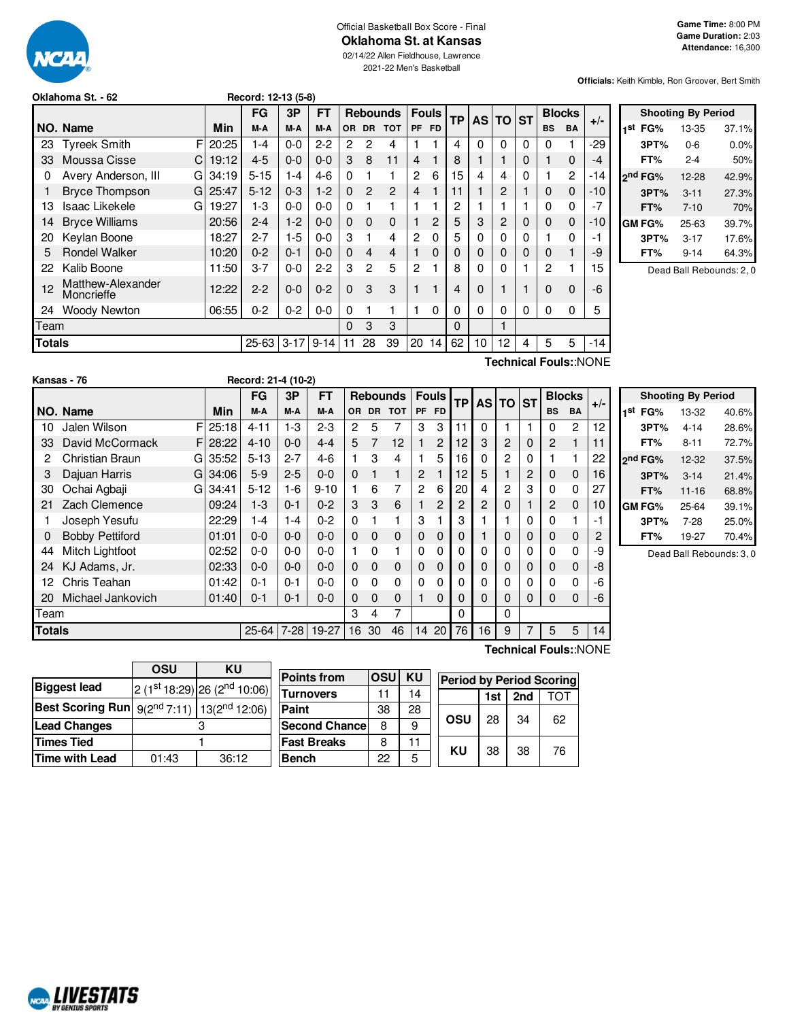

#### Official Basketball Box Score - Final **Oklahoma St. at Kansas**

02/14/22 Allen Fieldhouse, Lawrence

2021-22 Men's Basketball

**Officials:** Keith Kimble, Ron Groover, Bert Smith

|        |                                                |       | FG        | 3P       | FT       |           |                | <b>Rebounds</b> | <b>Fouls</b>   |     | ТP | AS I |    | <b>TO ST</b> | <b>Blocks</b> |           | $+/-$ |
|--------|------------------------------------------------|-------|-----------|----------|----------|-----------|----------------|-----------------|----------------|-----|----|------|----|--------------|---------------|-----------|-------|
|        | NO. Name                                       | Min   | M-A       | M-A      | M-A      | <b>OR</b> | <b>DR</b>      | <b>TOT</b>      | PF             | FD. |    |      |    |              | <b>BS</b>     | <b>BA</b> |       |
| 23     | F<br><b>Tyreek Smith</b>                       | 20:25 | 1-4       | $0-0$    | $2 - 2$  | 2         | 2              | 4               |                |     | 4  | 0    | 0  | $\Omega$     | 0             |           | $-29$ |
| 33     | Moussa Cisse<br>C                              | 19:12 | $4 - 5$   | $0 - 0$  | $0 - 0$  | 3         | 8              | 11              | 4              |     | 8  |      |    | $\Omega$     |               | 0         | -4    |
| 0      | Avery Anderson, III<br>G                       | 34:19 | $5 - 15$  | $1 - 4$  | $4-6$    | $\Omega$  |                |                 | 2              | 6   | 15 | 4    | 4  | $\Omega$     |               | 2         | $-14$ |
|        | <b>Bryce Thompson</b><br>GI                    | 25:47 | $5 - 12$  | $0 - 3$  | $1-2$    | $\Omega$  | $\overline{2}$ | $\overline{2}$  | $\overline{4}$ |     | 11 |      | 2  |              | $\Omega$      | $\Omega$  | $-10$ |
| 13     | <b>Isaac Likekele</b><br>G                     | 19:27 | $1-3$     | $0 - 0$  | $0 - 0$  | $\Omega$  |                |                 |                |     | 2  |      |    |              | 0             | 0         | -7    |
| 14     | <b>Bryce Williams</b>                          | 20:56 | $2 - 4$   | $1-2$    | $0 - 0$  | $\Omega$  | 0              | 0               |                | 2   | 5  | 3    | 2  | 0            | $\Omega$      | 0         | -10   |
| 20     | Keylan Boone                                   | 18:27 | $2 - 7$   | $1-5$    | $0 - 0$  | 3         | 1              | 4               | 2              | 0   | 5  | 0    | 0  | $\Omega$     |               | 0         | -1    |
| 5      | <b>Rondel Walker</b>                           | 10:20 | $0 - 2$   | $0 - 1$  | $0 - 0$  | $\Omega$  | 4              | 4               |                | 0   | 0  | 0    | 0  | $\Omega$     | $\Omega$      |           | -9    |
| 22     | Kalib Boone                                    | 11:50 | $3 - 7$   | $0-0$    | $2 - 2$  | 3         | 2              | 5               | 2              |     | 8  | 0    | 0  |              | 2             |           | 15    |
| 12     | Matthew-Alexander<br>Moncrieffe                | 12:22 | $2 - 2$   | $0 - 0$  | $0 - 2$  | $\Omega$  | 3              | 3               |                |     | 4  | 0    |    |              | $\Omega$      | $\Omega$  | $-6$  |
| 24     | Woody Newton                                   | 06:55 | $0 - 2$   | $0 - 2$  | $0 - 0$  | 0         |                |                 |                | 0   | 0  | 0    | 0  | $\Omega$     | 0             | 0         | 5     |
| Team   |                                                |       |           |          |          | $\Omega$  | 3              | 3               |                |     | 0  |      |    |              |               |           |       |
| Totals |                                                |       | $25 - 63$ | $3 - 17$ | $9 - 14$ | 11        | 28             | 39              | 20             | 14  | 62 | 10   | 12 | 4            | 5             | 5         | -14   |
|        | $T$ aabaisal $T$ aulau $N$ l $\cap$ M $\Gamma$ |       |           |          |          |           |                |                 |                |     |    |      |    |              |               |           |       |

**Oklahoma St. - 62 Record: 12-13 (5-8)**

**Shooting By Period 1 st FG%** 13-35 37.1% **3PT%** 0-6 0.0% **FT%** 2-4 50% **2 nd FG%** 12-28 42.9% **3PT%** 3-11 27.3% **FT%** 7-10 70% **GM FG%** 25-63 39.7% **3PT%** 3-17 17.6% **FT%** 9-14 64.3%

Dead Ball Rebounds: 2, 0

**Kansas - 76 Record: 21-4 (10-2)**

**Technical Fouls:**:NONE

**Technical Fouls:**:NONE

|               |                        |             | <b>FG</b> | 3P      | <b>FT</b> |              |           | <b>Rebounds</b> | <b>Fouls</b> |                | <b>TP</b> |          | AS TO ST |          |                | <b>Blocks</b> | $+/-$ |                 |
|---------------|------------------------|-------------|-----------|---------|-----------|--------------|-----------|-----------------|--------------|----------------|-----------|----------|----------|----------|----------------|---------------|-------|-----------------|
|               | NO. Name               | Min         | M-A       | M-A     | M-A       | OR.          | <b>DR</b> | <b>TOT</b>      | PF FD        |                |           |          |          |          | <b>BS</b>      | <b>BA</b>     |       | 1 <sup>st</sup> |
| 10            | Jalen Wilson           | $FI$ 25:18  | $4 - 11$  | $1-3$   | $2 - 3$   | 2            | 5         |                 | 3            | 3              | 11        | 0        |          |          | 0              | 2             | 12    |                 |
| 33            | David McCormack        | $F$   28:22 | $4 - 10$  | $0 - 0$ | $4 - 4$   | 5            | 7         | 12              |              | $\overline{2}$ | 12        | 3        | 2        | 0        | $\overline{2}$ |               | 11    |                 |
| 2             | Christian Braun        | G135:52     | $5 - 13$  | $2 - 7$ | $4-6$     |              | 3         | 4               |              | 5              | 16        | 0        | 2        | 0        |                |               | 22    | $2^n$           |
| 3             | Dajuan Harris          | G134:06     | $5-9$     | $2 - 5$ | $0 - 0$   | $\Omega$     |           | 1               | 2            |                | 12        | 5        |          | 2        | $\Omega$       | 0             | 16    |                 |
| 30            | Ochai Agbaji           | G134:41     | $5 - 12$  | $1 - 6$ | $9 - 10$  |              | 6         | 7               | 2            | 6              | 20        | 4        | 2        | 3        | 0              | $\mathbf 0$   | 27    |                 |
| 21            | Zach Clemence          | 09:24       | $1 - 3$   | $0 - 1$ | $0 - 2$   | 3            | 3         | 6               |              | $\overline{2}$ | 2         | 2        | 0        |          | $\overline{2}$ | $\Omega$      | 10    | G١              |
|               | Joseph Yesufu          | 22:29       | $1 - 4$   | $1 - 4$ | $0 - 2$   | 0            |           |                 | 3            |                | 3         |          |          | $\Omega$ | 0              |               | $-1$  |                 |
| 0             | <b>Bobby Pettiford</b> | 01:01       | $0 - 0$   | $0 - 0$ | $0 - 0$   | $\mathbf{0}$ | $\Omega$  | $\Omega$        | 0            | $\Omega$       | 0         |          | 0        | 0        | $\Omega$       | 0             | 2     |                 |
| 44            | Mitch Lightfoot        | 02:52       | $0-0$     | $0-0$   | $0 - 0$   |              | 0         | 1               | $\Omega$     | 0              | 0         | 0        | 0        | $\Omega$ | 0              | 0             | -9    |                 |
| 24            | KJ Adams, Jr.          | 02:33       | $0 - 0$   | $0 - 0$ | $0 - 0$   | $\mathbf{0}$ | $\Omega$  | 0               | $\mathbf{0}$ | $\Omega$       | 0         | 0        | 0        | 0        | $\Omega$       | $\mathbf 0$   | -8    |                 |
| 12            | Chris Teahan           | 01:42       | $0 - 1$   | $0 - 1$ | $0 - 0$   | 0            | $\Omega$  | 0               | $\Omega$     | 0              | 0         | 0        | 0        | 0        | 0              | 0             | -6    |                 |
| 20            | Michael Jankovich      | 01:40       | $0 - 1$   | $0 - 1$ | $0 - 0$   | 0            | $\Omega$  | $\Omega$        |              | $\Omega$       | 0         | $\Omega$ | 0        | 0        | $\Omega$       | $\Omega$      | -6    |                 |
| Team          |                        |             |           |         |           | 3            | 4         | 7               |              |                | 0         |          | $\Omega$ |          |                |               |       |                 |
| <b>Totals</b> |                        |             | $25 - 64$ | $7-28$  | 19-27     | 16           | 30        | 46              | 14           | 20             | 76        | 16       | 9        |          | 5              | 5             | 14    |                 |

|     |                     | <b>Shooting By Period</b> |       |
|-----|---------------------|---------------------------|-------|
| 1st | FG%                 | 13-32                     | 40.6% |
|     | 3PT%                | $4 - 14$                  | 28.6% |
|     | FT%                 | $8 - 11$                  | 72.7% |
|     | 2 <sup>nd</sup> FG% | 12-32                     | 37.5% |
|     | 3PT%                | $3 - 14$                  | 21.4% |
|     | FT%                 | $11 - 16$                 | 68.8% |
|     | GM FG%              | 25-64                     | 39.1% |
|     | 3PT%                | $7 - 28$                  | 25.0% |
|     | FT%                 | 19-27                     | 70.4% |

Dead Ball Rebounds: 3, 0

|                                                              | OSU   | ΚU                                       |  |  |  |  |  |
|--------------------------------------------------------------|-------|------------------------------------------|--|--|--|--|--|
| <b>Biggest lead</b>                                          |       | 2 (1st 18:29) 26 (2 <sup>nd</sup> 10:06) |  |  |  |  |  |
| <b>Best Scoring Run</b> $9(2^{nd} 7:11)$ 13( $2^{nd}$ 12:06) |       |                                          |  |  |  |  |  |
| <b>Lead Changes</b>                                          |       |                                          |  |  |  |  |  |
| <b>Times Tied</b>                                            |       |                                          |  |  |  |  |  |
| <b>Time with Lead</b>                                        | 01:43 | 36:12                                    |  |  |  |  |  |

NCAL LIVESTATS

| <b>Points from</b>    | OSU | KU | <b>Period by Period Scoring</b> |     |     |     |  |  |  |  |
|-----------------------|-----|----|---------------------------------|-----|-----|-----|--|--|--|--|
| <b>Turnovers</b>      | 11  | 14 |                                 | 1st | 2nd | τωτ |  |  |  |  |
| Paint                 | 38  | 28 |                                 | 28  | 34  |     |  |  |  |  |
| <b>Second Chancel</b> | 8   | 9  | OSU                             |     |     | 62  |  |  |  |  |
| <b>Fast Breaks</b>    | 8   |    | KU                              |     |     |     |  |  |  |  |
| <b>Bench</b>          | 22  | 5  |                                 | 38  | 38  | 76  |  |  |  |  |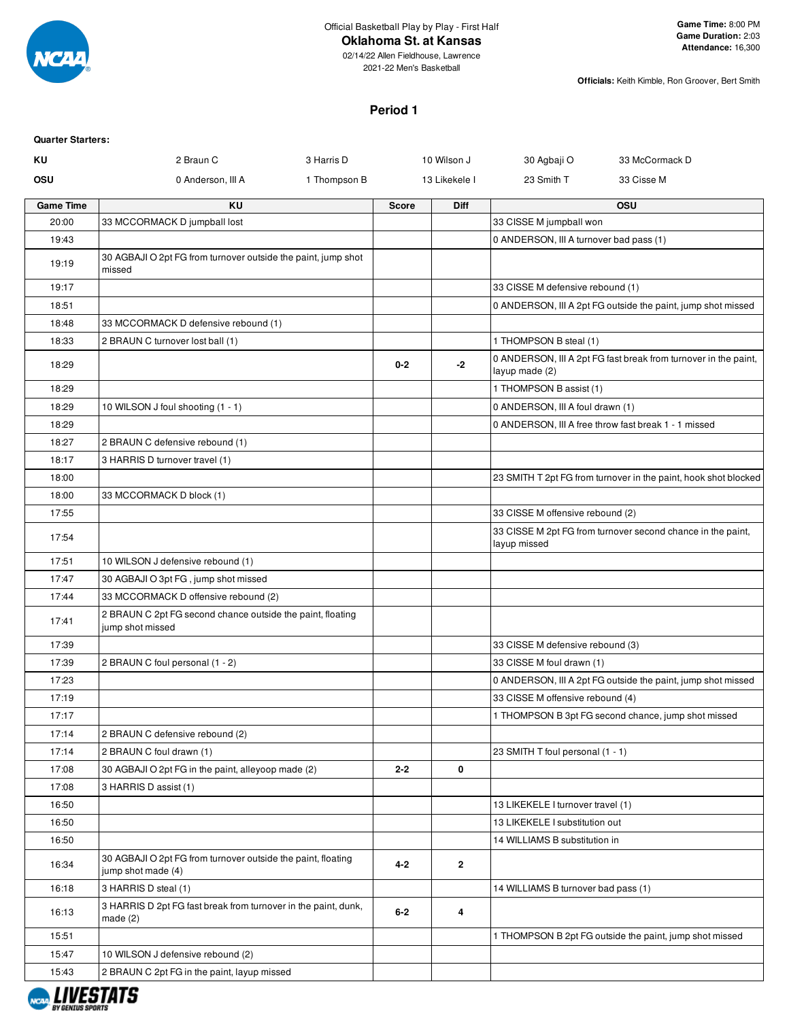

# **Oklahoma St. at Kansas**

02/14/22 Allen Fieldhouse, Lawrence 2021-22 Men's Basketball

**Officials:** Keith Kimble, Ron Groover, Bert Smith

#### **Period 1**

| ΚU<br>2 Braun C<br>33 McCormack D<br>3 Harris D<br>10 Wilson J<br>30 Agbaji O<br>OSU<br>1 Thompson B<br>23 Smith T<br>33 Cisse M<br>0 Anderson, III A<br>13 Likekele I<br>OSU<br>ΚU<br>Diff<br><b>Game Time</b><br>Score<br>20:00<br>33 MCCORMACK D jumpball lost<br>33 CISSE M jumpball won<br>19:43<br>0 ANDERSON, III A turnover bad pass (1)<br>30 AGBAJI O 2pt FG from turnover outside the paint, jump shot<br>19:19<br>missed<br>19:17<br>33 CISSE M defensive rebound (1)<br>18:51<br>0 ANDERSON, III A 2pt FG outside the paint, jump shot missed<br>18:48<br>33 MCCORMACK D defensive rebound (1)<br>18:33<br>1 THOMPSON B steal (1)<br>2 BRAUN C turnover lost ball (1)<br>0 ANDERSON, III A 2pt FG fast break from turnover in the paint,<br>$-2$<br>18:29<br>$0 - 2$<br>layup made (2)<br>1 THOMPSON B assist (1)<br>18:29<br>18:29<br>0 ANDERSON, III A foul drawn (1)<br>10 WILSON J foul shooting (1 - 1)<br>0 ANDERSON, III A free throw fast break 1 - 1 missed<br>18:29<br>18:27<br>2 BRAUN C defensive rebound (1)<br>18:17<br>3 HARRIS D turnover travel (1)<br>18:00<br>18:00<br>33 MCCORMACK D block (1)<br>17:55<br>33 CISSE M offensive rebound (2)<br>33 CISSE M 2pt FG from turnover second chance in the paint,<br>17:54<br>layup missed<br>17:51<br>10 WILSON J defensive rebound (1)<br>17:47<br>30 AGBAJI O 3pt FG, jump shot missed<br>17:44<br>33 MCCORMACK D offensive rebound (2)<br>2 BRAUN C 2pt FG second chance outside the paint, floating<br>17:41<br>jump shot missed<br>17:39<br>33 CISSE M defensive rebound (3)<br>17:39<br>33 CISSE M foul drawn (1)<br>2 BRAUN C foul personal (1 - 2)<br>17:23<br>0 ANDERSON, III A 2pt FG outside the paint, jump shot missed<br>17:19<br>33 CISSE M offensive rebound (4)<br>1 THOMPSON B 3pt FG second chance, jump shot missed<br>17:17<br>2 BRAUN C defensive rebound (2)<br>17:14<br>23 SMITH T foul personal (1 - 1)<br>17:14<br>2 BRAUN C foul drawn (1)<br>0<br>17:08<br>$2 - 2$<br>30 AGBAJI O 2pt FG in the paint, alleyoop made (2)<br>17:08<br>3 HARRIS D assist (1)<br>16:50<br>13 LIKEKELE I turnover travel (1)<br>16:50<br>13 LIKEKELE I substitution out<br>16:50<br>14 WILLIAMS B substitution in<br>30 AGBAJI O 2pt FG from turnover outside the paint, floating<br>$4 - 2$<br>$\mathbf{2}$<br>16:34<br>jump shot made (4)<br>16:18<br>3 HARRIS D steal (1)<br>14 WILLIAMS B turnover bad pass (1)<br>3 HARRIS D 2pt FG fast break from turnover in the paint, dunk,<br>$6 - 2$<br>4<br>16:13<br>made (2)<br>15:51<br>1 THOMPSON B 2pt FG outside the paint, jump shot missed<br>15:47<br>10 WILSON J defensive rebound (2)<br>15:43<br>2 BRAUN C 2pt FG in the paint, layup missed | <b>Quarter Starters:</b> |  |  |  |
|-----------------------------------------------------------------------------------------------------------------------------------------------------------------------------------------------------------------------------------------------------------------------------------------------------------------------------------------------------------------------------------------------------------------------------------------------------------------------------------------------------------------------------------------------------------------------------------------------------------------------------------------------------------------------------------------------------------------------------------------------------------------------------------------------------------------------------------------------------------------------------------------------------------------------------------------------------------------------------------------------------------------------------------------------------------------------------------------------------------------------------------------------------------------------------------------------------------------------------------------------------------------------------------------------------------------------------------------------------------------------------------------------------------------------------------------------------------------------------------------------------------------------------------------------------------------------------------------------------------------------------------------------------------------------------------------------------------------------------------------------------------------------------------------------------------------------------------------------------------------------------------------------------------------------------------------------------------------------------------------------------------------------------------------------------------------------------------------------------------------------------------------------------------------------------------------------------------------------------------------------------------------------------------------------------------------------------------------------------------------------------------------------------------------------------------------------------------------------------------------------------------------------------------------------------------------------------------------------------------------------------------------------------------------------------------------|--------------------------|--|--|--|
|                                                                                                                                                                                                                                                                                                                                                                                                                                                                                                                                                                                                                                                                                                                                                                                                                                                                                                                                                                                                                                                                                                                                                                                                                                                                                                                                                                                                                                                                                                                                                                                                                                                                                                                                                                                                                                                                                                                                                                                                                                                                                                                                                                                                                                                                                                                                                                                                                                                                                                                                                                                                                                                                                         |                          |  |  |  |
|                                                                                                                                                                                                                                                                                                                                                                                                                                                                                                                                                                                                                                                                                                                                                                                                                                                                                                                                                                                                                                                                                                                                                                                                                                                                                                                                                                                                                                                                                                                                                                                                                                                                                                                                                                                                                                                                                                                                                                                                                                                                                                                                                                                                                                                                                                                                                                                                                                                                                                                                                                                                                                                                                         |                          |  |  |  |
|                                                                                                                                                                                                                                                                                                                                                                                                                                                                                                                                                                                                                                                                                                                                                                                                                                                                                                                                                                                                                                                                                                                                                                                                                                                                                                                                                                                                                                                                                                                                                                                                                                                                                                                                                                                                                                                                                                                                                                                                                                                                                                                                                                                                                                                                                                                                                                                                                                                                                                                                                                                                                                                                                         |                          |  |  |  |
|                                                                                                                                                                                                                                                                                                                                                                                                                                                                                                                                                                                                                                                                                                                                                                                                                                                                                                                                                                                                                                                                                                                                                                                                                                                                                                                                                                                                                                                                                                                                                                                                                                                                                                                                                                                                                                                                                                                                                                                                                                                                                                                                                                                                                                                                                                                                                                                                                                                                                                                                                                                                                                                                                         |                          |  |  |  |
|                                                                                                                                                                                                                                                                                                                                                                                                                                                                                                                                                                                                                                                                                                                                                                                                                                                                                                                                                                                                                                                                                                                                                                                                                                                                                                                                                                                                                                                                                                                                                                                                                                                                                                                                                                                                                                                                                                                                                                                                                                                                                                                                                                                                                                                                                                                                                                                                                                                                                                                                                                                                                                                                                         |                          |  |  |  |
|                                                                                                                                                                                                                                                                                                                                                                                                                                                                                                                                                                                                                                                                                                                                                                                                                                                                                                                                                                                                                                                                                                                                                                                                                                                                                                                                                                                                                                                                                                                                                                                                                                                                                                                                                                                                                                                                                                                                                                                                                                                                                                                                                                                                                                                                                                                                                                                                                                                                                                                                                                                                                                                                                         |                          |  |  |  |
|                                                                                                                                                                                                                                                                                                                                                                                                                                                                                                                                                                                                                                                                                                                                                                                                                                                                                                                                                                                                                                                                                                                                                                                                                                                                                                                                                                                                                                                                                                                                                                                                                                                                                                                                                                                                                                                                                                                                                                                                                                                                                                                                                                                                                                                                                                                                                                                                                                                                                                                                                                                                                                                                                         |                          |  |  |  |
| 23 SMITH T 2pt FG from turnover in the paint, hook shot blocked                                                                                                                                                                                                                                                                                                                                                                                                                                                                                                                                                                                                                                                                                                                                                                                                                                                                                                                                                                                                                                                                                                                                                                                                                                                                                                                                                                                                                                                                                                                                                                                                                                                                                                                                                                                                                                                                                                                                                                                                                                                                                                                                                                                                                                                                                                                                                                                                                                                                                                                                                                                                                         |                          |  |  |  |
|                                                                                                                                                                                                                                                                                                                                                                                                                                                                                                                                                                                                                                                                                                                                                                                                                                                                                                                                                                                                                                                                                                                                                                                                                                                                                                                                                                                                                                                                                                                                                                                                                                                                                                                                                                                                                                                                                                                                                                                                                                                                                                                                                                                                                                                                                                                                                                                                                                                                                                                                                                                                                                                                                         |                          |  |  |  |
|                                                                                                                                                                                                                                                                                                                                                                                                                                                                                                                                                                                                                                                                                                                                                                                                                                                                                                                                                                                                                                                                                                                                                                                                                                                                                                                                                                                                                                                                                                                                                                                                                                                                                                                                                                                                                                                                                                                                                                                                                                                                                                                                                                                                                                                                                                                                                                                                                                                                                                                                                                                                                                                                                         |                          |  |  |  |
|                                                                                                                                                                                                                                                                                                                                                                                                                                                                                                                                                                                                                                                                                                                                                                                                                                                                                                                                                                                                                                                                                                                                                                                                                                                                                                                                                                                                                                                                                                                                                                                                                                                                                                                                                                                                                                                                                                                                                                                                                                                                                                                                                                                                                                                                                                                                                                                                                                                                                                                                                                                                                                                                                         |                          |  |  |  |
|                                                                                                                                                                                                                                                                                                                                                                                                                                                                                                                                                                                                                                                                                                                                                                                                                                                                                                                                                                                                                                                                                                                                                                                                                                                                                                                                                                                                                                                                                                                                                                                                                                                                                                                                                                                                                                                                                                                                                                                                                                                                                                                                                                                                                                                                                                                                                                                                                                                                                                                                                                                                                                                                                         |                          |  |  |  |
|                                                                                                                                                                                                                                                                                                                                                                                                                                                                                                                                                                                                                                                                                                                                                                                                                                                                                                                                                                                                                                                                                                                                                                                                                                                                                                                                                                                                                                                                                                                                                                                                                                                                                                                                                                                                                                                                                                                                                                                                                                                                                                                                                                                                                                                                                                                                                                                                                                                                                                                                                                                                                                                                                         |                          |  |  |  |
|                                                                                                                                                                                                                                                                                                                                                                                                                                                                                                                                                                                                                                                                                                                                                                                                                                                                                                                                                                                                                                                                                                                                                                                                                                                                                                                                                                                                                                                                                                                                                                                                                                                                                                                                                                                                                                                                                                                                                                                                                                                                                                                                                                                                                                                                                                                                                                                                                                                                                                                                                                                                                                                                                         |                          |  |  |  |
|                                                                                                                                                                                                                                                                                                                                                                                                                                                                                                                                                                                                                                                                                                                                                                                                                                                                                                                                                                                                                                                                                                                                                                                                                                                                                                                                                                                                                                                                                                                                                                                                                                                                                                                                                                                                                                                                                                                                                                                                                                                                                                                                                                                                                                                                                                                                                                                                                                                                                                                                                                                                                                                                                         |                          |  |  |  |
|                                                                                                                                                                                                                                                                                                                                                                                                                                                                                                                                                                                                                                                                                                                                                                                                                                                                                                                                                                                                                                                                                                                                                                                                                                                                                                                                                                                                                                                                                                                                                                                                                                                                                                                                                                                                                                                                                                                                                                                                                                                                                                                                                                                                                                                                                                                                                                                                                                                                                                                                                                                                                                                                                         |                          |  |  |  |
|                                                                                                                                                                                                                                                                                                                                                                                                                                                                                                                                                                                                                                                                                                                                                                                                                                                                                                                                                                                                                                                                                                                                                                                                                                                                                                                                                                                                                                                                                                                                                                                                                                                                                                                                                                                                                                                                                                                                                                                                                                                                                                                                                                                                                                                                                                                                                                                                                                                                                                                                                                                                                                                                                         |                          |  |  |  |
|                                                                                                                                                                                                                                                                                                                                                                                                                                                                                                                                                                                                                                                                                                                                                                                                                                                                                                                                                                                                                                                                                                                                                                                                                                                                                                                                                                                                                                                                                                                                                                                                                                                                                                                                                                                                                                                                                                                                                                                                                                                                                                                                                                                                                                                                                                                                                                                                                                                                                                                                                                                                                                                                                         |                          |  |  |  |
|                                                                                                                                                                                                                                                                                                                                                                                                                                                                                                                                                                                                                                                                                                                                                                                                                                                                                                                                                                                                                                                                                                                                                                                                                                                                                                                                                                                                                                                                                                                                                                                                                                                                                                                                                                                                                                                                                                                                                                                                                                                                                                                                                                                                                                                                                                                                                                                                                                                                                                                                                                                                                                                                                         |                          |  |  |  |
|                                                                                                                                                                                                                                                                                                                                                                                                                                                                                                                                                                                                                                                                                                                                                                                                                                                                                                                                                                                                                                                                                                                                                                                                                                                                                                                                                                                                                                                                                                                                                                                                                                                                                                                                                                                                                                                                                                                                                                                                                                                                                                                                                                                                                                                                                                                                                                                                                                                                                                                                                                                                                                                                                         |                          |  |  |  |
|                                                                                                                                                                                                                                                                                                                                                                                                                                                                                                                                                                                                                                                                                                                                                                                                                                                                                                                                                                                                                                                                                                                                                                                                                                                                                                                                                                                                                                                                                                                                                                                                                                                                                                                                                                                                                                                                                                                                                                                                                                                                                                                                                                                                                                                                                                                                                                                                                                                                                                                                                                                                                                                                                         |                          |  |  |  |
|                                                                                                                                                                                                                                                                                                                                                                                                                                                                                                                                                                                                                                                                                                                                                                                                                                                                                                                                                                                                                                                                                                                                                                                                                                                                                                                                                                                                                                                                                                                                                                                                                                                                                                                                                                                                                                                                                                                                                                                                                                                                                                                                                                                                                                                                                                                                                                                                                                                                                                                                                                                                                                                                                         |                          |  |  |  |
|                                                                                                                                                                                                                                                                                                                                                                                                                                                                                                                                                                                                                                                                                                                                                                                                                                                                                                                                                                                                                                                                                                                                                                                                                                                                                                                                                                                                                                                                                                                                                                                                                                                                                                                                                                                                                                                                                                                                                                                                                                                                                                                                                                                                                                                                                                                                                                                                                                                                                                                                                                                                                                                                                         |                          |  |  |  |
|                                                                                                                                                                                                                                                                                                                                                                                                                                                                                                                                                                                                                                                                                                                                                                                                                                                                                                                                                                                                                                                                                                                                                                                                                                                                                                                                                                                                                                                                                                                                                                                                                                                                                                                                                                                                                                                                                                                                                                                                                                                                                                                                                                                                                                                                                                                                                                                                                                                                                                                                                                                                                                                                                         |                          |  |  |  |
|                                                                                                                                                                                                                                                                                                                                                                                                                                                                                                                                                                                                                                                                                                                                                                                                                                                                                                                                                                                                                                                                                                                                                                                                                                                                                                                                                                                                                                                                                                                                                                                                                                                                                                                                                                                                                                                                                                                                                                                                                                                                                                                                                                                                                                                                                                                                                                                                                                                                                                                                                                                                                                                                                         |                          |  |  |  |
|                                                                                                                                                                                                                                                                                                                                                                                                                                                                                                                                                                                                                                                                                                                                                                                                                                                                                                                                                                                                                                                                                                                                                                                                                                                                                                                                                                                                                                                                                                                                                                                                                                                                                                                                                                                                                                                                                                                                                                                                                                                                                                                                                                                                                                                                                                                                                                                                                                                                                                                                                                                                                                                                                         |                          |  |  |  |
|                                                                                                                                                                                                                                                                                                                                                                                                                                                                                                                                                                                                                                                                                                                                                                                                                                                                                                                                                                                                                                                                                                                                                                                                                                                                                                                                                                                                                                                                                                                                                                                                                                                                                                                                                                                                                                                                                                                                                                                                                                                                                                                                                                                                                                                                                                                                                                                                                                                                                                                                                                                                                                                                                         |                          |  |  |  |
|                                                                                                                                                                                                                                                                                                                                                                                                                                                                                                                                                                                                                                                                                                                                                                                                                                                                                                                                                                                                                                                                                                                                                                                                                                                                                                                                                                                                                                                                                                                                                                                                                                                                                                                                                                                                                                                                                                                                                                                                                                                                                                                                                                                                                                                                                                                                                                                                                                                                                                                                                                                                                                                                                         |                          |  |  |  |
|                                                                                                                                                                                                                                                                                                                                                                                                                                                                                                                                                                                                                                                                                                                                                                                                                                                                                                                                                                                                                                                                                                                                                                                                                                                                                                                                                                                                                                                                                                                                                                                                                                                                                                                                                                                                                                                                                                                                                                                                                                                                                                                                                                                                                                                                                                                                                                                                                                                                                                                                                                                                                                                                                         |                          |  |  |  |
|                                                                                                                                                                                                                                                                                                                                                                                                                                                                                                                                                                                                                                                                                                                                                                                                                                                                                                                                                                                                                                                                                                                                                                                                                                                                                                                                                                                                                                                                                                                                                                                                                                                                                                                                                                                                                                                                                                                                                                                                                                                                                                                                                                                                                                                                                                                                                                                                                                                                                                                                                                                                                                                                                         |                          |  |  |  |
|                                                                                                                                                                                                                                                                                                                                                                                                                                                                                                                                                                                                                                                                                                                                                                                                                                                                                                                                                                                                                                                                                                                                                                                                                                                                                                                                                                                                                                                                                                                                                                                                                                                                                                                                                                                                                                                                                                                                                                                                                                                                                                                                                                                                                                                                                                                                                                                                                                                                                                                                                                                                                                                                                         |                          |  |  |  |
|                                                                                                                                                                                                                                                                                                                                                                                                                                                                                                                                                                                                                                                                                                                                                                                                                                                                                                                                                                                                                                                                                                                                                                                                                                                                                                                                                                                                                                                                                                                                                                                                                                                                                                                                                                                                                                                                                                                                                                                                                                                                                                                                                                                                                                                                                                                                                                                                                                                                                                                                                                                                                                                                                         |                          |  |  |  |
|                                                                                                                                                                                                                                                                                                                                                                                                                                                                                                                                                                                                                                                                                                                                                                                                                                                                                                                                                                                                                                                                                                                                                                                                                                                                                                                                                                                                                                                                                                                                                                                                                                                                                                                                                                                                                                                                                                                                                                                                                                                                                                                                                                                                                                                                                                                                                                                                                                                                                                                                                                                                                                                                                         |                          |  |  |  |
|                                                                                                                                                                                                                                                                                                                                                                                                                                                                                                                                                                                                                                                                                                                                                                                                                                                                                                                                                                                                                                                                                                                                                                                                                                                                                                                                                                                                                                                                                                                                                                                                                                                                                                                                                                                                                                                                                                                                                                                                                                                                                                                                                                                                                                                                                                                                                                                                                                                                                                                                                                                                                                                                                         |                          |  |  |  |
|                                                                                                                                                                                                                                                                                                                                                                                                                                                                                                                                                                                                                                                                                                                                                                                                                                                                                                                                                                                                                                                                                                                                                                                                                                                                                                                                                                                                                                                                                                                                                                                                                                                                                                                                                                                                                                                                                                                                                                                                                                                                                                                                                                                                                                                                                                                                                                                                                                                                                                                                                                                                                                                                                         |                          |  |  |  |
|                                                                                                                                                                                                                                                                                                                                                                                                                                                                                                                                                                                                                                                                                                                                                                                                                                                                                                                                                                                                                                                                                                                                                                                                                                                                                                                                                                                                                                                                                                                                                                                                                                                                                                                                                                                                                                                                                                                                                                                                                                                                                                                                                                                                                                                                                                                                                                                                                                                                                                                                                                                                                                                                                         |                          |  |  |  |
|                                                                                                                                                                                                                                                                                                                                                                                                                                                                                                                                                                                                                                                                                                                                                                                                                                                                                                                                                                                                                                                                                                                                                                                                                                                                                                                                                                                                                                                                                                                                                                                                                                                                                                                                                                                                                                                                                                                                                                                                                                                                                                                                                                                                                                                                                                                                                                                                                                                                                                                                                                                                                                                                                         |                          |  |  |  |
|                                                                                                                                                                                                                                                                                                                                                                                                                                                                                                                                                                                                                                                                                                                                                                                                                                                                                                                                                                                                                                                                                                                                                                                                                                                                                                                                                                                                                                                                                                                                                                                                                                                                                                                                                                                                                                                                                                                                                                                                                                                                                                                                                                                                                                                                                                                                                                                                                                                                                                                                                                                                                                                                                         |                          |  |  |  |
|                                                                                                                                                                                                                                                                                                                                                                                                                                                                                                                                                                                                                                                                                                                                                                                                                                                                                                                                                                                                                                                                                                                                                                                                                                                                                                                                                                                                                                                                                                                                                                                                                                                                                                                                                                                                                                                                                                                                                                                                                                                                                                                                                                                                                                                                                                                                                                                                                                                                                                                                                                                                                                                                                         |                          |  |  |  |
|                                                                                                                                                                                                                                                                                                                                                                                                                                                                                                                                                                                                                                                                                                                                                                                                                                                                                                                                                                                                                                                                                                                                                                                                                                                                                                                                                                                                                                                                                                                                                                                                                                                                                                                                                                                                                                                                                                                                                                                                                                                                                                                                                                                                                                                                                                                                                                                                                                                                                                                                                                                                                                                                                         |                          |  |  |  |
|                                                                                                                                                                                                                                                                                                                                                                                                                                                                                                                                                                                                                                                                                                                                                                                                                                                                                                                                                                                                                                                                                                                                                                                                                                                                                                                                                                                                                                                                                                                                                                                                                                                                                                                                                                                                                                                                                                                                                                                                                                                                                                                                                                                                                                                                                                                                                                                                                                                                                                                                                                                                                                                                                         |                          |  |  |  |
|                                                                                                                                                                                                                                                                                                                                                                                                                                                                                                                                                                                                                                                                                                                                                                                                                                                                                                                                                                                                                                                                                                                                                                                                                                                                                                                                                                                                                                                                                                                                                                                                                                                                                                                                                                                                                                                                                                                                                                                                                                                                                                                                                                                                                                                                                                                                                                                                                                                                                                                                                                                                                                                                                         |                          |  |  |  |

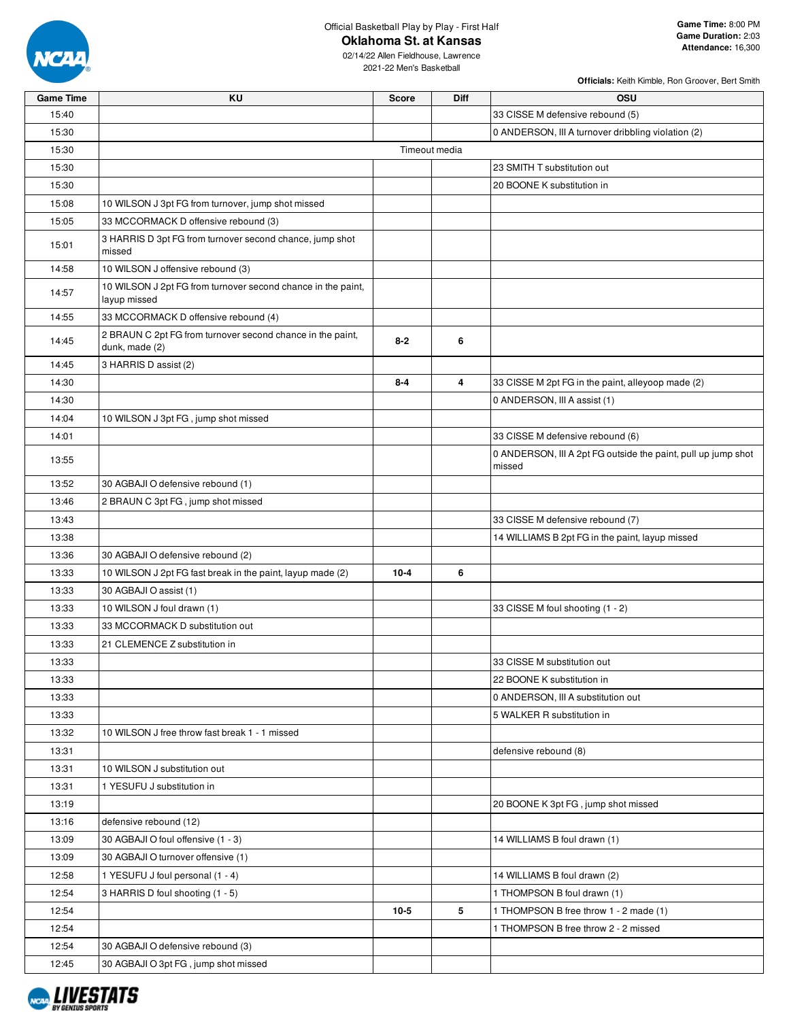

**Oklahoma St. at Kansas**

| <b>Game Time</b> | KU                                                                           | <b>Score</b> | <b>Diff</b> | <b>OSU</b>                                                              |  |  |  |  |
|------------------|------------------------------------------------------------------------------|--------------|-------------|-------------------------------------------------------------------------|--|--|--|--|
| 15:40            |                                                                              |              |             | 33 CISSE M defensive rebound (5)                                        |  |  |  |  |
| 15:30            |                                                                              |              |             | 0 ANDERSON, III A turnover dribbling violation (2)                      |  |  |  |  |
| 15:30            | Timeout media                                                                |              |             |                                                                         |  |  |  |  |
| 15:30            |                                                                              |              |             | 23 SMITH T substitution out                                             |  |  |  |  |
| 15:30            |                                                                              |              |             | 20 BOONE K substitution in                                              |  |  |  |  |
| 15:08            | 10 WILSON J 3pt FG from turnover, jump shot missed                           |              |             |                                                                         |  |  |  |  |
| 15:05            | 33 MCCORMACK D offensive rebound (3)                                         |              |             |                                                                         |  |  |  |  |
| 15:01            | 3 HARRIS D 3pt FG from turnover second chance, jump shot<br>missed           |              |             |                                                                         |  |  |  |  |
| 14:58            | 10 WILSON J offensive rebound (3)                                            |              |             |                                                                         |  |  |  |  |
| 14:57            | 10 WILSON J 2pt FG from turnover second chance in the paint,<br>layup missed |              |             |                                                                         |  |  |  |  |
| 14:55            | 33 MCCORMACK D offensive rebound (4)                                         |              |             |                                                                         |  |  |  |  |
| 14:45            | 2 BRAUN C 2pt FG from turnover second chance in the paint,<br>dunk, made (2) | $8 - 2$      | 6           |                                                                         |  |  |  |  |
| 14:45            | 3 HARRIS D assist (2)                                                        |              |             |                                                                         |  |  |  |  |
| 14:30            |                                                                              | $8 - 4$      | 4           | 33 CISSE M 2pt FG in the paint, alleyoop made (2)                       |  |  |  |  |
| 14:30            |                                                                              |              |             | 0 ANDERSON, III A assist (1)                                            |  |  |  |  |
| 14:04            | 10 WILSON J 3pt FG, jump shot missed                                         |              |             |                                                                         |  |  |  |  |
| 14:01            |                                                                              |              |             | 33 CISSE M defensive rebound (6)                                        |  |  |  |  |
| 13:55            |                                                                              |              |             | 0 ANDERSON, III A 2pt FG outside the paint, pull up jump shot<br>missed |  |  |  |  |
| 13:52            | 30 AGBAJI O defensive rebound (1)                                            |              |             |                                                                         |  |  |  |  |
| 13:46            | 2 BRAUN C 3pt FG, jump shot missed                                           |              |             |                                                                         |  |  |  |  |
| 13:43            |                                                                              |              |             | 33 CISSE M defensive rebound (7)                                        |  |  |  |  |
| 13:38            |                                                                              |              |             | 14 WILLIAMS B 2pt FG in the paint, layup missed                         |  |  |  |  |
| 13:36            | 30 AGBAJI O defensive rebound (2)                                            |              |             |                                                                         |  |  |  |  |
| 13:33            | 10 WILSON J 2pt FG fast break in the paint, layup made (2)                   | $10 - 4$     | 6           |                                                                         |  |  |  |  |
| 13:33            | 30 AGBAJI O assist (1)                                                       |              |             |                                                                         |  |  |  |  |
| 13:33            | 10 WILSON J foul drawn (1)                                                   |              |             | 33 CISSE M foul shooting (1 - 2)                                        |  |  |  |  |
| 13:33            | 33 MCCORMACK D substitution out                                              |              |             |                                                                         |  |  |  |  |
| 13:33            | 21 CLEMENCE Z substitution in                                                |              |             |                                                                         |  |  |  |  |
| 13:33            |                                                                              |              |             | 33 CISSE M substitution out                                             |  |  |  |  |
| 13:33            |                                                                              |              |             | 22 BOONE K substitution in                                              |  |  |  |  |
| 13:33            |                                                                              |              |             | 0 ANDERSON, III A substitution out                                      |  |  |  |  |
| 13:33            |                                                                              |              |             | 5 WALKER R substitution in                                              |  |  |  |  |
| 13:32            | 10 WILSON J free throw fast break 1 - 1 missed                               |              |             |                                                                         |  |  |  |  |
| 13:31            |                                                                              |              |             | defensive rebound (8)                                                   |  |  |  |  |
| 13:31            | 10 WILSON J substitution out                                                 |              |             |                                                                         |  |  |  |  |
| 13:31            | 1 YESUFU J substitution in                                                   |              |             |                                                                         |  |  |  |  |
| 13:19            |                                                                              |              |             | 20 BOONE K 3pt FG, jump shot missed                                     |  |  |  |  |
| 13:16            | defensive rebound (12)                                                       |              |             |                                                                         |  |  |  |  |
| 13:09            | 30 AGBAJI O foul offensive (1 - 3)                                           |              |             | 14 WILLIAMS B foul drawn (1)                                            |  |  |  |  |
| 13:09            | 30 AGBAJI O turnover offensive (1)                                           |              |             |                                                                         |  |  |  |  |
| 12:58            | 1 YESUFU J foul personal (1 - 4)                                             |              |             | 14 WILLIAMS B foul drawn (2)                                            |  |  |  |  |
| 12:54            | 3 HARRIS D foul shooting (1 - 5)                                             |              |             | 1 THOMPSON B foul drawn (1)                                             |  |  |  |  |
| 12:54            |                                                                              | $10 - 5$     | 5           | 1 THOMPSON B free throw 1 - 2 made (1)                                  |  |  |  |  |
| 12:54            |                                                                              |              |             | 1 THOMPSON B free throw 2 - 2 missed                                    |  |  |  |  |
| 12:54            | 30 AGBAJI O defensive rebound (3)                                            |              |             |                                                                         |  |  |  |  |
| 12:45            | 30 AGBAJI O 3pt FG, jump shot missed                                         |              |             |                                                                         |  |  |  |  |

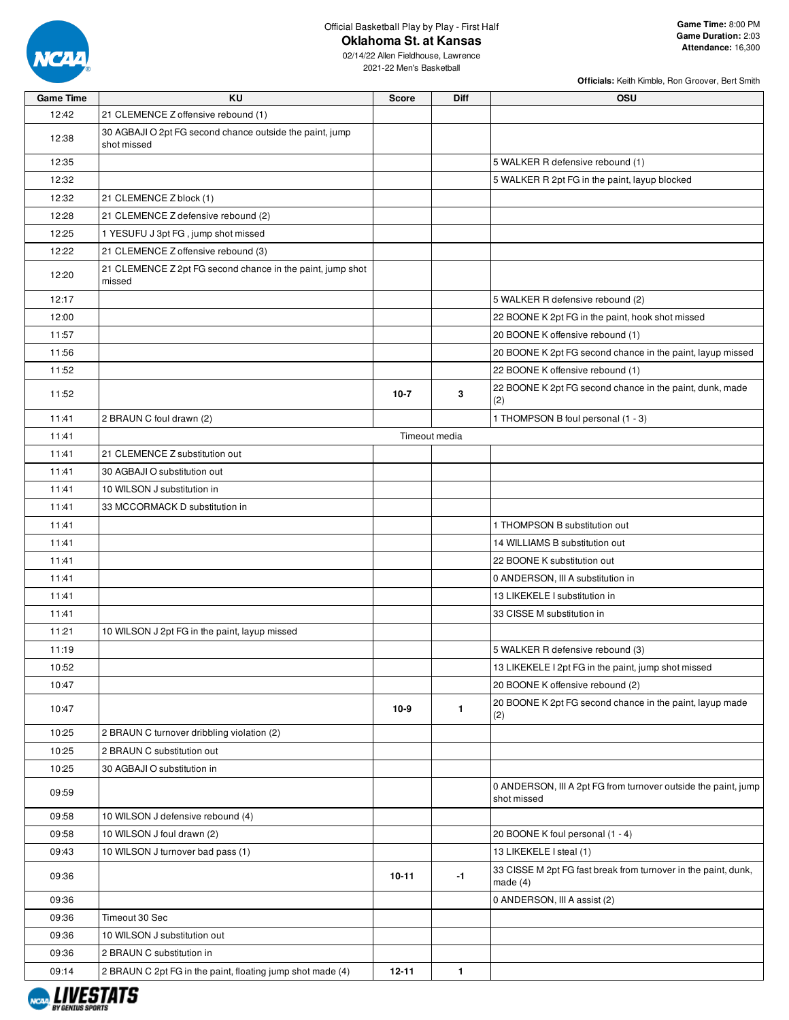

**Oklahoma St. at Kansas**

02/14/22 Allen Fieldhouse, Lawrence 2021-22 Men's Basketball

| <b>Game Time</b> | KU                                                                      | <b>Score</b> | Diff          | <b>OSU</b>                                                                    |
|------------------|-------------------------------------------------------------------------|--------------|---------------|-------------------------------------------------------------------------------|
| 12:42            | 21 CLEMENCE Z offensive rebound (1)                                     |              |               |                                                                               |
| 12:38            | 30 AGBAJI O 2pt FG second chance outside the paint, jump<br>shot missed |              |               |                                                                               |
| 12:35            |                                                                         |              |               | 5 WALKER R defensive rebound (1)                                              |
| 12:32            |                                                                         |              |               | 5 WALKER R 2pt FG in the paint, layup blocked                                 |
| 12:32            | 21 CLEMENCE Z block (1)                                                 |              |               |                                                                               |
| 12:28            | 21 CLEMENCE Z defensive rebound (2)                                     |              |               |                                                                               |
| 12:25            | 1 YESUFU J 3pt FG, jump shot missed                                     |              |               |                                                                               |
| 12:22            | 21 CLEMENCE Z offensive rebound (3)                                     |              |               |                                                                               |
| 12:20            | 21 CLEMENCE Z 2pt FG second chance in the paint, jump shot<br>missed    |              |               |                                                                               |
| 12:17            |                                                                         |              |               | 5 WALKER R defensive rebound (2)                                              |
| 12:00            |                                                                         |              |               | 22 BOONE K 2pt FG in the paint, hook shot missed                              |
| 11:57            |                                                                         |              |               | 20 BOONE K offensive rebound (1)                                              |
| 11:56            |                                                                         |              |               | 20 BOONE K 2pt FG second chance in the paint, layup missed                    |
| 11:52            |                                                                         |              |               | 22 BOONE K offensive rebound (1)                                              |
| 11:52            |                                                                         | $10 - 7$     | 3             | 22 BOONE K 2pt FG second chance in the paint, dunk, made<br>(2)               |
| 11:41            | 2 BRAUN C foul drawn (2)                                                |              |               | 1 THOMPSON B foul personal (1 - 3)                                            |
| 11:41            |                                                                         |              | Timeout media |                                                                               |
| 11:41            | 21 CLEMENCE Z substitution out                                          |              |               |                                                                               |
| 11:41            | 30 AGBAJI O substitution out                                            |              |               |                                                                               |
| 11:41            | 10 WILSON J substitution in                                             |              |               |                                                                               |
| 11:41            | 33 MCCORMACK D substitution in                                          |              |               |                                                                               |
| 11:41            |                                                                         |              |               | 1 THOMPSON B substitution out                                                 |
| 11:41            |                                                                         |              |               | 14 WILLIAMS B substitution out                                                |
| 11:41            |                                                                         |              |               | 22 BOONE K substitution out                                                   |
| 11:41            |                                                                         |              |               | 0 ANDERSON, III A substitution in                                             |
| 11:41            |                                                                         |              |               | 13 LIKEKELE I substitution in                                                 |
| 11:41            |                                                                         |              |               | 33 CISSE M substitution in                                                    |
| 11:21            | 10 WILSON J 2pt FG in the paint, layup missed                           |              |               |                                                                               |
| 11:19            |                                                                         |              |               | 5 WALKER R defensive rebound (3)                                              |
| 10:52            |                                                                         |              |               | 13 LIKEKELE I 2pt FG in the paint, jump shot missed                           |
| 10:47            |                                                                         |              |               | 20 BOONE K offensive rebound (2)                                              |
| 10:47            |                                                                         | $10-9$       | $\mathbf{1}$  | 20 BOONE K 2pt FG second chance in the paint, layup made<br>(2)               |
| 10:25            | 2 BRAUN C turnover dribbling violation (2)                              |              |               |                                                                               |
| 10:25            | 2 BRAUN C substitution out                                              |              |               |                                                                               |
| 10:25            | 30 AGBAJI O substitution in                                             |              |               |                                                                               |
| 09:59            |                                                                         |              |               | 0 ANDERSON, III A 2pt FG from turnover outside the paint, jump<br>shot missed |
| 09:58            | 10 WILSON J defensive rebound (4)                                       |              |               |                                                                               |
| 09:58            | 10 WILSON J foul drawn (2)                                              |              |               | 20 BOONE K foul personal (1 - 4)                                              |
| 09:43            | 10 WILSON J turnover bad pass (1)                                       |              |               | 13 LIKEKELE I steal (1)                                                       |
| 09:36            |                                                                         | 10-11        | $-1$          | 33 CISSE M 2pt FG fast break from turnover in the paint, dunk,<br>made $(4)$  |
| 09:36            |                                                                         |              |               | 0 ANDERSON, III A assist (2)                                                  |
| 09:36            | Timeout 30 Sec                                                          |              |               |                                                                               |
| 09:36            | 10 WILSON J substitution out                                            |              |               |                                                                               |
| 09:36            | 2 BRAUN C substitution in                                               |              |               |                                                                               |
| 09:14            | 2 BRAUN C 2pt FG in the paint, floating jump shot made (4)              | $12 - 11$    | $\mathbf{1}$  |                                                                               |

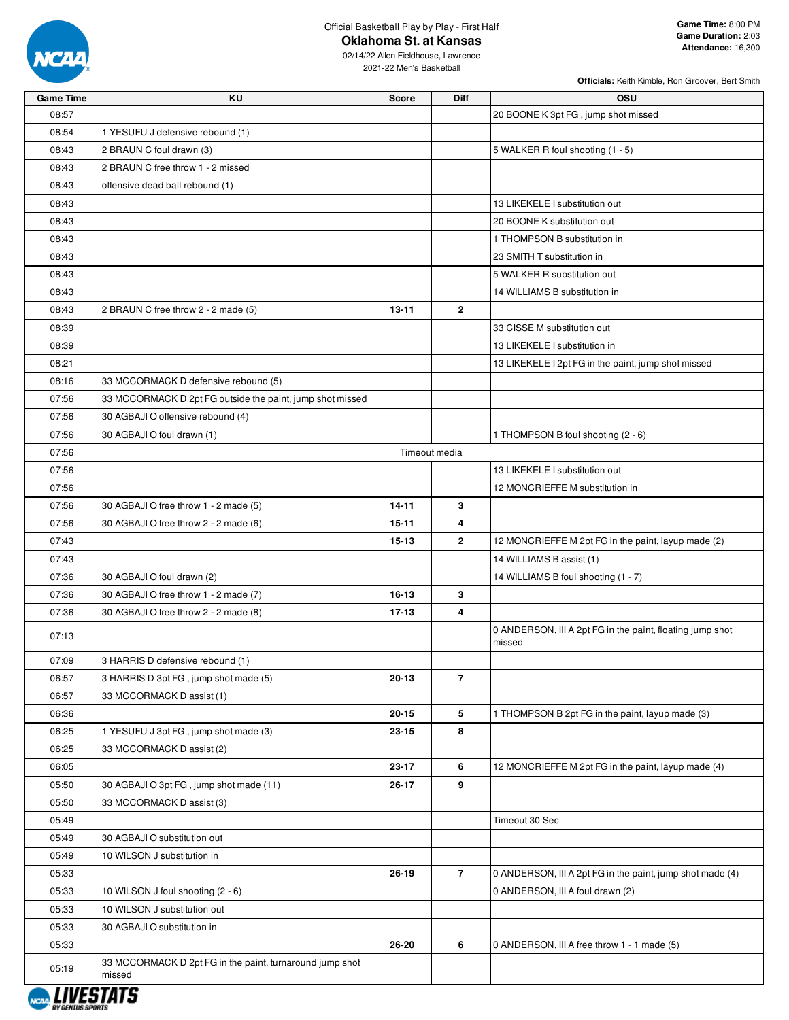

**Oklahoma St. at Kansas**

| <b>Game Time</b> | ΚU                                                        | <b>Score</b> | <b>Diff</b>    | <b>OSU</b>                                                |
|------------------|-----------------------------------------------------------|--------------|----------------|-----------------------------------------------------------|
| 08:57            |                                                           |              |                | 20 BOONE K 3pt FG, jump shot missed                       |
| 08:54            | 1 YESUFU J defensive rebound (1)                          |              |                |                                                           |
| 08:43            | 2 BRAUN C foul drawn (3)                                  |              |                | 5 WALKER R foul shooting (1 - 5)                          |
| 08:43            | 2 BRAUN C free throw 1 - 2 missed                         |              |                |                                                           |
| 08:43            | offensive dead ball rebound (1)                           |              |                |                                                           |
| 08:43            |                                                           |              |                | 13 LIKEKELE I substitution out                            |
| 08:43            |                                                           |              |                | 20 BOONE K substitution out                               |
| 08:43            |                                                           |              |                | 1 THOMPSON B substitution in                              |
| 08:43            |                                                           |              |                | 23 SMITH T substitution in                                |
| 08:43            |                                                           |              |                | 5 WALKER R substitution out                               |
| 08:43            |                                                           |              |                | 14 WILLIAMS B substitution in                             |
| 08:43            | 2 BRAUN C free throw 2 - 2 made (5)                       | $13 - 11$    | $\overline{2}$ |                                                           |
| 08:39            |                                                           |              |                | 33 CISSE M substitution out                               |
| 08:39            |                                                           |              |                | 13 LIKEKELE I substitution in                             |
| 08:21            |                                                           |              |                | 13 LIKEKELE I 2pt FG in the paint, jump shot missed       |
| 08:16            | 33 MCCORMACK D defensive rebound (5)                      |              |                |                                                           |
| 07:56            | 33 MCCORMACK D 2pt FG outside the paint, jump shot missed |              |                |                                                           |
| 07:56            | 30 AGBAJI O offensive rebound (4)                         |              |                |                                                           |
| 07:56            | 30 AGBAJI O foul drawn (1)                                |              |                | 1 THOMPSON B foul shooting (2 - 6)                        |
| 07:56            |                                                           |              | Timeout media  |                                                           |
| 07:56            |                                                           |              |                | 13 LIKEKELE I substitution out                            |
| 07:56            |                                                           |              |                | 12 MONCRIEFFE M substitution in                           |
| 07:56            | 30 AGBAJI O free throw 1 - 2 made (5)                     | $14 - 11$    | 3              |                                                           |
| 07:56            | 30 AGBAJI O free throw 2 - 2 made (6)                     | $15 - 11$    | 4              |                                                           |
| 07:43            |                                                           | $15 - 13$    | $\overline{2}$ | 12 MONCRIEFFE M 2pt FG in the paint, layup made (2)       |
| 07:43            |                                                           |              |                | 14 WILLIAMS B assist (1)                                  |
| 07:36            | 30 AGBAJI O foul drawn (2)                                |              |                | 14 WILLIAMS B foul shooting (1 - 7)                       |
| 07:36            | 30 AGBAJI O free throw 1 - 2 made (7)                     | 16-13        | 3              |                                                           |
| 07:36            | 30 AGBAJI O free throw 2 - 2 made (8)                     | $17 - 13$    | 4              |                                                           |
|                  |                                                           |              |                | 0 ANDERSON, III A 2pt FG in the paint, floating jump shot |
| 07:13            |                                                           |              |                | missed                                                    |
| 07:09            | 3 HARRIS D defensive rebound (1)                          |              |                |                                                           |
| 06:57            | 3 HARRIS D 3pt FG, jump shot made (5)                     | 20-13        | $\overline{7}$ |                                                           |
| 06:57            | 33 MCCORMACK D assist (1)                                 |              |                |                                                           |
| 06:36            |                                                           | $20 - 15$    | 5              | 1 THOMPSON B 2pt FG in the paint, layup made (3)          |
| 06:25            | 1 YESUFU J 3pt FG, jump shot made (3)                     | 23-15        | 8              |                                                           |
| 06:25            | 33 MCCORMACK D assist (2)                                 |              |                |                                                           |
| 06:05            |                                                           | 23-17        | 6              | 12 MONCRIEFFE M 2pt FG in the paint, layup made (4)       |
| 05:50            | 30 AGBAJI O 3pt FG, jump shot made (11)                   | 26-17        | 9              |                                                           |
| 05:50            | 33 MCCORMACK D assist (3)                                 |              |                |                                                           |
| 05:49            |                                                           |              |                | Timeout 30 Sec                                            |
| 05:49            | 30 AGBAJI O substitution out                              |              |                |                                                           |
| 05:49            | 10 WILSON J substitution in                               |              |                |                                                           |
| 05:33            |                                                           | 26-19        | $\overline{7}$ | 0 ANDERSON, III A 2pt FG in the paint, jump shot made (4) |
| 05:33            | 10 WILSON J foul shooting (2 - 6)                         |              |                | 0 ANDERSON, III A foul drawn (2)                          |
| 05:33            | 10 WILSON J substitution out                              |              |                |                                                           |
| 05:33            | 30 AGBAJI O substitution in                               |              |                |                                                           |
| 05:33            |                                                           | 26-20        | 6              | 0 ANDERSON, III A free throw 1 - 1 made (5)               |
|                  | 33 MCCORMACK D 2pt FG in the paint, turnaround jump shot  |              |                |                                                           |
| 05:19            | missed                                                    |              |                |                                                           |

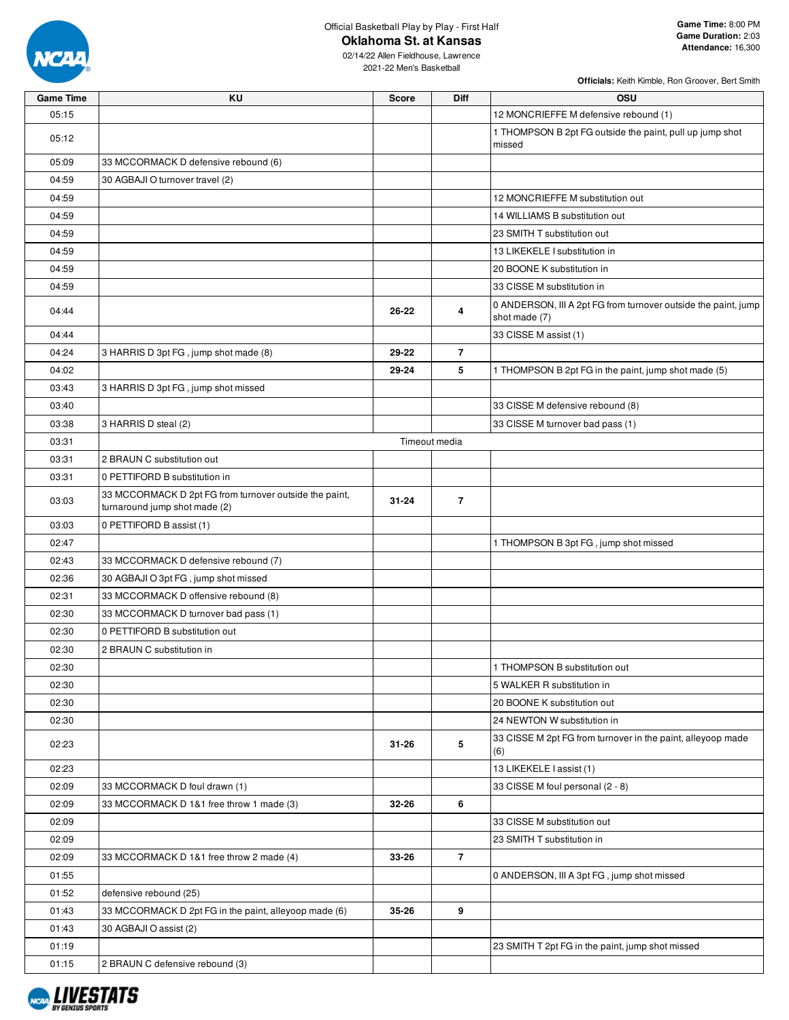

**Oklahoma St. at Kansas**

02/14/22 Allen Fieldhouse, Lawrence 2021-22 Men's Basketball

| <b>Game Time</b> | ΚU                                                                                      | Score     | Diff           | <b>OSU</b>                                                                      |
|------------------|-----------------------------------------------------------------------------------------|-----------|----------------|---------------------------------------------------------------------------------|
| 05:15            |                                                                                         |           |                | 12 MONCRIEFFE M defensive rebound (1)                                           |
| 05:12            |                                                                                         |           |                | 1 THOMPSON B 2pt FG outside the paint, pull up jump shot<br>missed              |
| 05:09            | 33 MCCORMACK D defensive rebound (6)                                                    |           |                |                                                                                 |
| 04:59            | 30 AGBAJI O turnover travel (2)                                                         |           |                |                                                                                 |
| 04:59            |                                                                                         |           |                | 12 MONCRIEFFE M substitution out                                                |
| 04:59            |                                                                                         |           |                | 14 WILLIAMS B substitution out                                                  |
| 04:59            |                                                                                         |           |                | 23 SMITH T substitution out                                                     |
| 04:59            |                                                                                         |           |                | 13 LIKEKELE I substitution in                                                   |
| 04:59            |                                                                                         |           |                | 20 BOONE K substitution in                                                      |
| 04:59            |                                                                                         |           |                | 33 CISSE M substitution in                                                      |
| 04:44            |                                                                                         | 26-22     | 4              | 0 ANDERSON, III A 2pt FG from turnover outside the paint, jump<br>shot made (7) |
| 04:44            |                                                                                         |           |                | 33 CISSE M assist (1)                                                           |
| 04:24            | 3 HARRIS D 3pt FG, jump shot made (8)                                                   | 29-22     | $\overline{7}$ |                                                                                 |
| 04:02            |                                                                                         | 29-24     | 5              | 1 THOMPSON B 2pt FG in the paint, jump shot made (5)                            |
| 03:43            | 3 HARRIS D 3pt FG, jump shot missed                                                     |           |                |                                                                                 |
| 03:40            |                                                                                         |           |                | 33 CISSE M defensive rebound (8)                                                |
| 03:38            | 3 HARRIS D steal (2)                                                                    |           |                | 33 CISSE M turnover bad pass (1)                                                |
| 03:31            |                                                                                         |           | Timeout media  |                                                                                 |
| 03:31            | 2 BRAUN C substitution out                                                              |           |                |                                                                                 |
| 03:31            | 0 PETTIFORD B substitution in                                                           |           |                |                                                                                 |
| 03:03            | 33 MCCORMACK D 2pt FG from turnover outside the paint,<br>turnaround jump shot made (2) | $31 - 24$ | $\overline{7}$ |                                                                                 |
| 03:03            | 0 PETTIFORD B assist (1)                                                                |           |                |                                                                                 |
| 02:47            |                                                                                         |           |                | 1 THOMPSON B 3pt FG, jump shot missed                                           |
| 02:43            | 33 MCCORMACK D defensive rebound (7)                                                    |           |                |                                                                                 |
| 02:36            | 30 AGBAJI O 3pt FG, jump shot missed                                                    |           |                |                                                                                 |
| 02:31            | 33 MCCORMACK D offensive rebound (8)                                                    |           |                |                                                                                 |
| 02:30            | 33 MCCORMACK D turnover bad pass (1)                                                    |           |                |                                                                                 |
| 02:30            | 0 PETTIFORD B substitution out                                                          |           |                |                                                                                 |
| 02:30            | 2 BRAUN C substitution in                                                               |           |                |                                                                                 |
| 02:30            |                                                                                         |           |                | 1 THOMPSON B substitution out                                                   |
| 02:30            |                                                                                         |           |                | 5 WALKER R substitution in                                                      |
| 02:30            |                                                                                         |           |                | 20 BOONE K substitution out                                                     |
| 02:30            |                                                                                         |           |                | 24 NEWTON W substitution in                                                     |
|                  |                                                                                         |           |                | 33 CISSE M 2pt FG from turnover in the paint, alleyoop made                     |
| 02:23            |                                                                                         | $31 - 26$ | $\sqrt{5}$     | (6)                                                                             |
| 02:23            |                                                                                         |           |                | 13 LIKEKELE I assist (1)                                                        |
| 02:09            | 33 MCCORMACK D foul drawn (1)                                                           |           |                | 33 CISSE M foul personal (2 - 8)                                                |
| 02:09            | 33 MCCORMACK D 1&1 free throw 1 made (3)                                                | 32-26     | 6              |                                                                                 |
| 02:09            |                                                                                         |           |                | 33 CISSE M substitution out                                                     |
| 02:09            |                                                                                         |           |                | 23 SMITH T substitution in                                                      |
| 02:09            | 33 MCCORMACK D 1&1 free throw 2 made (4)                                                | 33-26     | $\overline{7}$ |                                                                                 |
| 01:55            |                                                                                         |           |                | 0 ANDERSON, III A 3pt FG, jump shot missed                                      |
| 01:52            | defensive rebound (25)                                                                  |           |                |                                                                                 |
| 01:43            | 33 MCCORMACK D 2pt FG in the paint, alleyoop made (6)                                   | 35-26     | 9              |                                                                                 |
| 01:43            | 30 AGBAJI O assist (2)                                                                  |           |                |                                                                                 |
| 01:19            |                                                                                         |           |                | 23 SMITH T 2pt FG in the paint, jump shot missed                                |
| 01:15            | 2 BRAUN C defensive rebound (3)                                                         |           |                |                                                                                 |

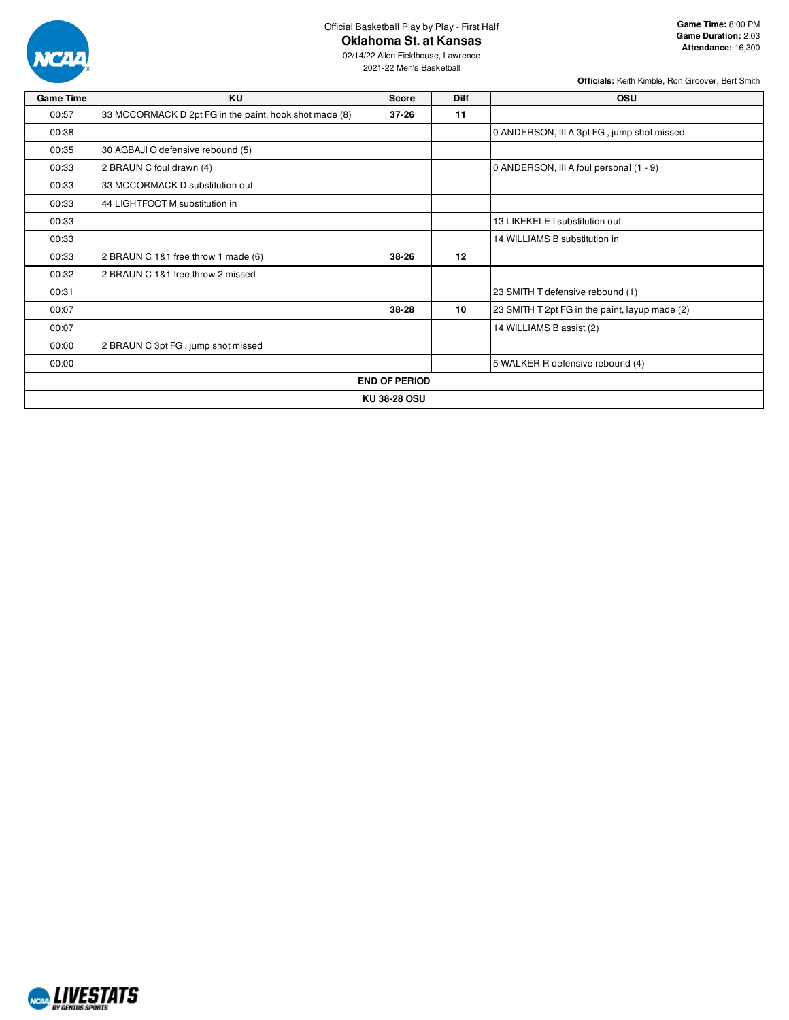

### **Oklahoma St. at Kansas**

02/14/22 Allen Fieldhouse, Lawrence 2021-22 Men's Basketball

| <b>Game Time</b> | KU                                                     | <b>Score</b> | <b>Diff</b> | <b>OSU</b>                                     |  |  |  |  |
|------------------|--------------------------------------------------------|--------------|-------------|------------------------------------------------|--|--|--|--|
| 00:57            | 33 MCCORMACK D 2pt FG in the paint, hook shot made (8) | $37 - 26$    | 11          |                                                |  |  |  |  |
| 00:38            |                                                        |              |             | 0 ANDERSON, III A 3pt FG, jump shot missed     |  |  |  |  |
| 00:35            | 30 AGBAJI O defensive rebound (5)                      |              |             |                                                |  |  |  |  |
| 00:33            | 2 BRAUN C foul drawn (4)                               |              |             | 0 ANDERSON, III A foul personal (1 - 9)        |  |  |  |  |
| 00:33            | 33 MCCORMACK D substitution out                        |              |             |                                                |  |  |  |  |
| 00:33            | 44 LIGHTFOOT M substitution in                         |              |             |                                                |  |  |  |  |
| 00:33            |                                                        |              |             | 13 LIKEKELE I substitution out                 |  |  |  |  |
| 00:33            |                                                        |              |             | 14 WILLIAMS B substitution in                  |  |  |  |  |
| 00:33            | 2 BRAUN C 1&1 free throw 1 made (6)                    | 38-26        | 12          |                                                |  |  |  |  |
| 00:32            | 2 BRAUN C 1&1 free throw 2 missed                      |              |             |                                                |  |  |  |  |
| 00:31            |                                                        |              |             | 23 SMITH T defensive rebound (1)               |  |  |  |  |
| 00:07            |                                                        | 38-28        | 10          | 23 SMITH T 2pt FG in the paint, layup made (2) |  |  |  |  |
| 00:07            |                                                        |              |             | 14 WILLIAMS B assist (2)                       |  |  |  |  |
| 00:00            | 2 BRAUN C 3pt FG, jump shot missed                     |              |             |                                                |  |  |  |  |
| 00:00            |                                                        |              |             | 5 WALKER R defensive rebound (4)               |  |  |  |  |
|                  | <b>END OF PERIOD</b>                                   |              |             |                                                |  |  |  |  |
|                  |                                                        | KU 38-28 OSU |             |                                                |  |  |  |  |

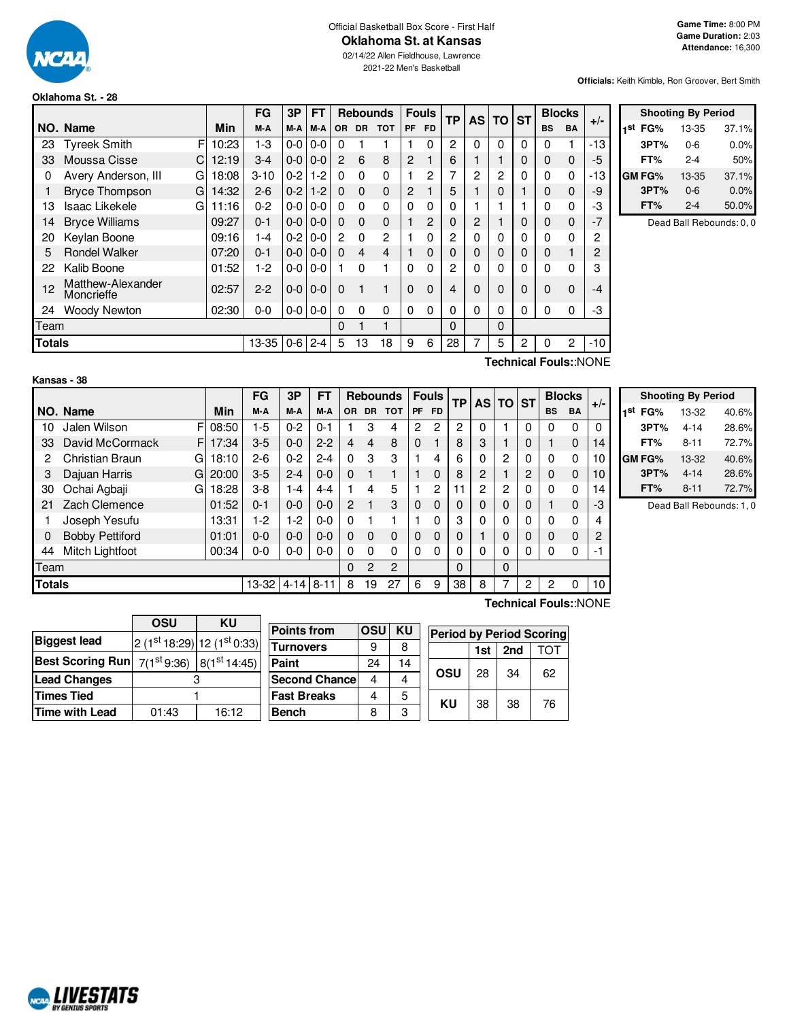

#### Official Basketball Box Score - First Half **Oklahoma St. at Kansas**

02/14/22 Allen Fieldhouse, Lawrence 2021-22 Men's Basketball

**Officials:** Keith Kimble, Ron Groover, Bert Smith

## **Oklahoma St. - 28**

|               |                                                |            | FG       | 3P      | FT              |                | <b>Rebounds</b> |                | <b>Fouls</b> |              | TP           | <b>AS</b>      | <b>TO</b> | <b>ST</b> |             | <b>Blocks</b>  | $+/-$ |
|---------------|------------------------------------------------|------------|----------|---------|-----------------|----------------|-----------------|----------------|--------------|--------------|--------------|----------------|-----------|-----------|-------------|----------------|-------|
|               | NO. Name                                       | <b>Min</b> | M-A      | M-A     | M-A             | <b>OR</b>      | <b>DR</b>       | <b>TOT</b>     | <b>PF</b>    | <b>FD</b>    |              |                |           |           | <b>BS</b>   | <b>BA</b>      |       |
| 23            | <b>Tyreek Smith</b><br>F                       | 10:23      | $1-3$    | $0-0$   | $0 - 0$         | $\Omega$       |                 |                |              | 0            | 2            | 0              | $\Omega$  | 0         | 0           |                | $-13$ |
| 33            | Moussa Cisse<br>C                              | 12:19      | $3-4$    | $0-0$   | $0 - 0$         | $\mathcal{P}$  | 6               | 8              | 2            |              | 6            |                |           | 0         | 0           | $\mathbf 0$    | -5    |
| 0             | Avery Anderson, III<br>G                       | 18:08      | $3 - 10$ | $0 - 2$ | $1-2$           | $\Omega$       | $\Omega$        | 0              |              | 2            | 7            | $\overline{2}$ | 2         | 0         | 0           | 0              | $-13$ |
|               | <b>Bryce Thompson</b><br>G                     | 14:32      | $2 - 6$  | $0-2$   | $1 - 2$         | $\Omega$       | $\mathbf 0$     | $\mathbf 0$    | 2            |              | 5            |                | 0         |           | 0           | $\mathbf 0$    | -9    |
| 13            | Isaac Likekele<br>G                            | 11:16      | $0 - 2$  | $0-0$   | $0-0$           | $\Omega$       | $\Omega$        | 0              | 0            | 0            | 0            |                |           |           | 0           | 0              | -3    |
| 14            | <b>Bryce Williams</b>                          | 09:27      | $0 - 1$  |         | $0 - 0 1 0 - 0$ | $\Omega$       | $\mathbf 0$     | $\mathbf 0$    |              | 2            | 0            | 2              |           | 0         | 0           | 0              | $-7$  |
| 20            | Keylan Boone                                   | 09:16      | 1-4      | $0-2$   | $0 - 0$         | $\overline{c}$ | $\Omega$        | 2              |              | 0            | $\mathbf{2}$ | 0              | 0         | 0         | $\Omega$    | 0              | 2     |
| 5             | <b>Rondel Walker</b>                           | 07:20      | $0 - 1$  |         | $0 - 0 0 - 0$   | $\Omega$       | 4               | $\overline{4}$ |              | 0            | 0            | $\mathbf 0$    | 0         | 0         | $\mathbf 0$ |                | 2     |
| 22            | Kalib Boone                                    | 01:52      | $1-2$    | $0-0$   | $0-0$           |                | $\Omega$        |                | 0            | $\mathbf{0}$ | 2            | 0              | 0         | 0         | $\Omega$    | $\Omega$       | 3     |
| 12            | Matthew-Alexander<br>Moncrieffe                | 02:57      | $2 - 2$  | $0-0$   | $0 - 0$         | $\Omega$       | $\mathbf{1}$    | 1              | $\Omega$     | $\Omega$     | 4            | $\Omega$       | 0         | 0         | $\Omega$    | $\Omega$       | $-4$  |
| 24            | <b>Woody Newton</b>                            | 02:30      | $0-0$    |         | $0 - 0 0 - 0$   | $\Omega$       | $\Omega$        | 0              | 0            | $\Omega$     | 0            | 0              | $\Omega$  | 0         | $\Omega$    | 0              | -3    |
| Team          |                                                |            |          |         |                 | $\Omega$       |                 | 1              |              |              | $\Omega$     |                | 0         |           |             |                |       |
| <b>Totals</b> |                                                |            | 13-35    | $0 - 6$ | $2 - 4$         | 5              | 13              | 18             | 9            | 6            | 28           | 7              | 5         | 2         | 0           | $\overline{2}$ | $-10$ |
|               | $T$ aahniaal $T$ aulau $N$ $\cap$ $N$ $\Gamma$ |            |          |         |                 |                |                 |                |              |              |              |                |           |           |             |                |       |

|     | <b>Shooting By Period</b> |         |       |  |  |  |  |
|-----|---------------------------|---------|-------|--|--|--|--|
| 1st | FG%                       | 13-35   | 37.1% |  |  |  |  |
|     | 3PT%                      | $0 - 6$ | 0.0%  |  |  |  |  |
|     | FT%                       | 2-4     | 50%   |  |  |  |  |
|     | <b>GM FG%</b>             | 13-35   | 37.1% |  |  |  |  |
|     | 3PT%                      | $0 - 6$ | 0.0%  |  |  |  |  |
|     | FT%                       | $2 - 4$ | 50.0% |  |  |  |  |

Dead Ball Rebounds: 0, 0

### **Kansas - 38**

**Technical Fouls:**:NONE

|               |                             |       | FG      | 3P       | FТ       |                |           | <b>Rebounds</b> |           | <b>Fouls</b> | ТP |   | AS TO ST    |   | <b>Blocks</b> |           | $+/-$    |
|---------------|-----------------------------|-------|---------|----------|----------|----------------|-----------|-----------------|-----------|--------------|----|---|-------------|---|---------------|-----------|----------|
|               | NO. Name                    | Min   | M-A     | M-A      | M-A      | ΟR             | <b>DR</b> | <b>TOT</b>      | <b>PF</b> | <b>FD</b>    |    |   |             |   | <b>BS</b>     | <b>BA</b> |          |
| 10            | Jalen Wilson<br>F           | 08:50 | $-5$    | $0 - 2$  | $0 - 1$  |                | 3         | 4               | 2         | 2            | 2  | 0 |             | 0 | 0             | $\Omega$  | $\Omega$ |
| 33            | David McCormack<br>F        | 17:34 | $3-5$   | $0 - 0$  | $2 - 2$  | 4              | 4         | 8               | 0         |              | 8  | 3 |             | 0 |               | $\Omega$  | 14       |
| 2             | <b>Christian Braun</b><br>G | 18:10 | $2 - 6$ | $0 - 2$  | $2 - 4$  | 0              | 3         | 3               |           | 4            | 6  | 0 | 2           | 0 | $\Omega$      | 0         | 10       |
| 3             | Dajuan Harris<br>G          | 20:00 | $3-5$   | $2 - 4$  | $0 - 0$  | $\Omega$       |           |                 |           | 0            | 8  | 2 |             | 2 | 0             | 0         | 10       |
| 30            | Ochai Agbaji<br>G           | 18:28 | $3 - 8$ | 1-4      | $4 - 4$  |                | 4         | 5               |           | 2            | 11 | 2 | 2           | 0 | $\Omega$      | 0         | 14       |
| 21            | Zach Clemence               | 01:52 | $0 - 1$ | $0 - 0$  | $0 - 0$  | $\overline{2}$ |           | 3               | 0         | $\Omega$     | 0  | 0 | 0           | 0 |               | $\Omega$  | -3       |
|               | Joseph Yesufu               | 13:31 | -2      | 1-2      | $0 - 0$  | $\Omega$       |           |                 |           | 0            | 3  | 0 | $\mathbf 0$ | 0 | 0             | $\Omega$  | 4        |
| 0             | <b>Bobby Pettiford</b>      | 01:01 | $0 - 0$ | $0 - 0$  | $0 - 0$  | $\Omega$       | 0         | 0               | 0         | $\Omega$     | 0  |   | 0           | 0 | $\Omega$      | 0         | 2        |
| 44            | Mitch Lightfoot             | 00:34 | 0-0     | $0-0$    | $0 - 0$  | $\Omega$       | 0         | 0               | 0         | 0            | 0  | 0 | 0           | 0 | 0             | 0         | -1       |
| Team          |                             |       |         |          |          | $\Omega$       | 2         | 2               |           |              | 0  |   | 0           |   |               |           |          |
| <b>Totals</b> |                             |       | 13-32   | $4 - 14$ | $8 - 11$ | 8              | 19        | 27              | 6         | 9            | 38 | 8 |             | 2 | 2             | 0         | 10       |

| <b>Shooting By Period</b> |          |       |  |  |  |  |  |
|---------------------------|----------|-------|--|--|--|--|--|
| 1st FG%                   | 13-32    | 40.6% |  |  |  |  |  |
| 3PT%                      | $4 - 14$ | 28.6% |  |  |  |  |  |
| FT%                       | $8 - 11$ | 72.7% |  |  |  |  |  |
| GM FG%                    | 13-32    | 40.6% |  |  |  |  |  |
| 3PT%                      | $4 - 14$ | 28.6% |  |  |  |  |  |
| FT%                       | $8 - 11$ | 72.7% |  |  |  |  |  |

Dead Ball Rebounds: 1, 0

|                         | OSU                                      | ΚU    |  |  |  |
|-------------------------|------------------------------------------|-------|--|--|--|
| <b>Biggest lead</b>     | $2(1st 18:29)$ 12 $(1st 0:33)$           |       |  |  |  |
| <b>Best Scoring Run</b> | $7(1^{st}9.36)$ 8(1 <sup>st</sup> 14:45) |       |  |  |  |
| <b>Lead Changes</b>     |                                          |       |  |  |  |
| <b>Times Tied</b>       |                                          |       |  |  |  |
| <b>Time with Lead</b>   | 01:43                                    | 16:12 |  |  |  |

**Points from OSU KU Turnovers** 9 8 **Paint** 24 14 **Second Chance** 4 4 **Fast Breaks** 4 5 **Bench** 8 3 **Period by Period Scoring 1st 2nd** TOT **OSU** | 28 | 34 | 62 **KU** 38 38 76

**Technical Fouls:**:NONE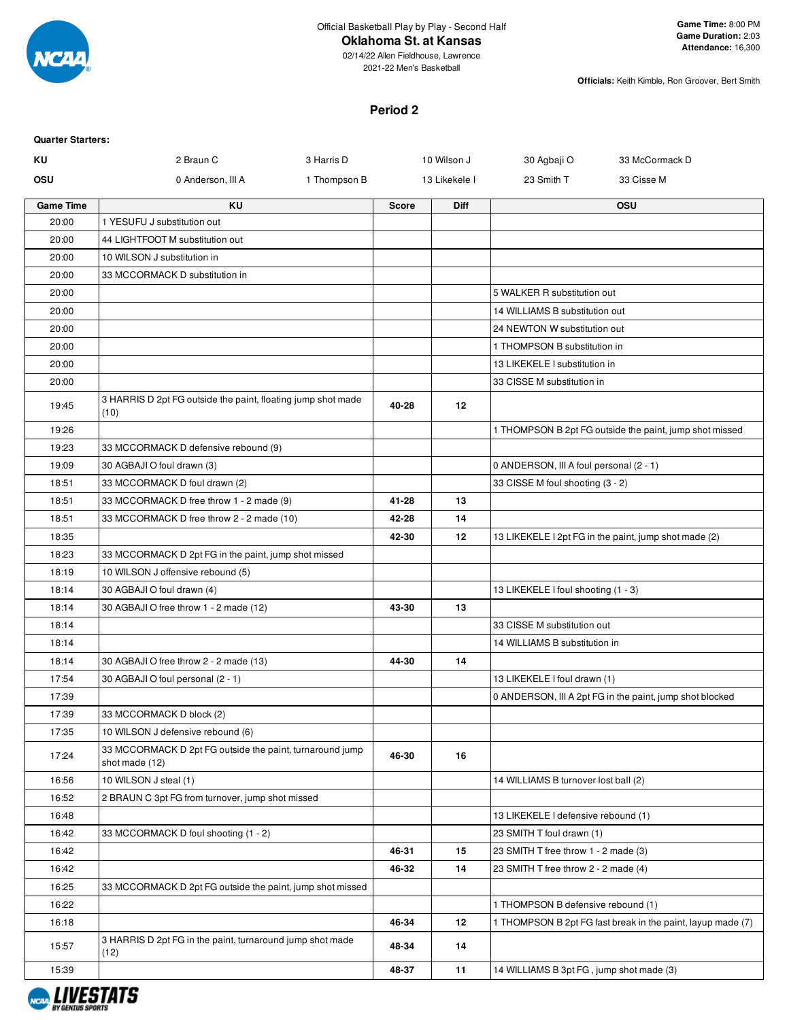

### **Oklahoma St. at Kansas**

02/14/22 Allen Fieldhouse, Lawrence 2021-22 Men's Basketball

**Officials:** Keith Kimble, Ron Groover, Bert Smith

#### **Period 2**

| <b>Quarter Starters:</b> |                                                                            |              |              |               |                                          |                                                             |
|--------------------------|----------------------------------------------------------------------------|--------------|--------------|---------------|------------------------------------------|-------------------------------------------------------------|
| ΚU                       | 2 Braun C                                                                  | 3 Harris D   |              | 10 Wilson J   | 30 Agbaji O                              | 33 McCormack D                                              |
| <b>OSU</b>               | 0 Anderson, III A                                                          | 1 Thompson B |              | 13 Likekele I | 23 Smith T                               | 33 Cisse M                                                  |
| <b>Game Time</b>         | <b>KU</b>                                                                  |              | <b>Score</b> | <b>Diff</b>   |                                          | <b>OSU</b>                                                  |
| 20:00                    | 1 YESUFU J substitution out                                                |              |              |               |                                          |                                                             |
| 20:00                    | 44 LIGHTFOOT M substitution out                                            |              |              |               |                                          |                                                             |
| 20:00                    | 10 WILSON J substitution in                                                |              |              |               |                                          |                                                             |
| 20:00                    | 33 MCCORMACK D substitution in                                             |              |              |               |                                          |                                                             |
| 20:00                    |                                                                            |              |              |               | 5 WALKER R substitution out              |                                                             |
| 20:00                    |                                                                            |              |              |               | 14 WILLIAMS B substitution out           |                                                             |
| 20:00                    |                                                                            |              |              |               | 24 NEWTON W substitution out             |                                                             |
| 20:00                    |                                                                            |              |              |               | 1 THOMPSON B substitution in             |                                                             |
| 20:00                    |                                                                            |              |              |               | 13 LIKEKELE I substitution in            |                                                             |
| 20:00                    |                                                                            |              |              |               | 33 CISSE M substitution in               |                                                             |
| 19:45                    | 3 HARRIS D 2pt FG outside the paint, floating jump shot made<br>(10)       |              | 40-28        | 12            |                                          |                                                             |
| 19:26                    |                                                                            |              |              |               |                                          | 1 THOMPSON B 2pt FG outside the paint, jump shot missed     |
| 19:23                    | 33 MCCORMACK D defensive rebound (9)                                       |              |              |               |                                          |                                                             |
| 19:09                    | 30 AGBAJI O foul drawn (3)                                                 |              |              |               | 0 ANDERSON, III A foul personal (2 - 1)  |                                                             |
| 18:51                    | 33 MCCORMACK D foul drawn (2)                                              |              |              |               | 33 CISSE M foul shooting (3 - 2)         |                                                             |
| 18:51                    | 33 MCCORMACK D free throw 1 - 2 made (9)                                   |              | 41-28        | 13            |                                          |                                                             |
| 18:51                    | 33 MCCORMACK D free throw 2 - 2 made (10)                                  |              | 42-28        | 14            |                                          |                                                             |
| 18:35                    |                                                                            |              | 42-30        | 12            |                                          | 13 LIKEKELE I 2pt FG in the paint, jump shot made (2)       |
| 18:23                    | 33 MCCORMACK D 2pt FG in the paint, jump shot missed                       |              |              |               |                                          |                                                             |
| 18:19                    | 10 WILSON J offensive rebound (5)                                          |              |              |               |                                          |                                                             |
| 18:14                    | 30 AGBAJI O foul drawn (4)                                                 |              |              |               | 13 LIKEKELE I foul shooting (1 - 3)      |                                                             |
| 18:14                    | 30 AGBAJI O free throw 1 - 2 made (12)                                     |              | 43-30        | 13            |                                          |                                                             |
| 18:14                    |                                                                            |              |              |               | 33 CISSE M substitution out              |                                                             |
| 18:14                    |                                                                            |              |              |               | 14 WILLIAMS B substitution in            |                                                             |
| 18:14                    | 30 AGBAJI O free throw 2 - 2 made (13)                                     |              | 44-30        | 14            |                                          |                                                             |
| 17:54                    | 30 AGBAJI O foul personal (2 - 1)                                          |              |              |               | 13 LIKEKELE I foul drawn (1)             |                                                             |
| 17:39                    |                                                                            |              |              |               |                                          | 0 ANDERSON, III A 2pt FG in the paint, jump shot blocked    |
| 17:39                    | 33 MCCORMACK D block (2)                                                   |              |              |               |                                          |                                                             |
| 17:35                    | 10 WILSON J defensive rebound (6)                                          |              |              |               |                                          |                                                             |
| 17:24                    | 33 MCCORMACK D 2pt FG outside the paint, turnaround jump<br>shot made (12) |              | 46-30        | 16            |                                          |                                                             |
| 16:56                    | 10 WILSON J steal (1)                                                      |              |              |               | 14 WILLIAMS B turnover lost ball (2)     |                                                             |
| 16:52                    | 2 BRAUN C 3pt FG from turnover, jump shot missed                           |              |              |               |                                          |                                                             |
| 16:48                    |                                                                            |              |              |               | 13 LIKEKELE I defensive rebound (1)      |                                                             |
| 16:42                    | 33 MCCORMACK D foul shooting (1 - 2)                                       |              |              |               | 23 SMITH T foul drawn (1)                |                                                             |
| 16:42                    |                                                                            |              | 46-31        | 15            | 23 SMITH T free throw 1 - 2 made (3)     |                                                             |
| 16:42                    |                                                                            |              | 46-32        | 14            | 23 SMITH T free throw 2 - 2 made (4)     |                                                             |
| 16:25                    | 33 MCCORMACK D 2pt FG outside the paint, jump shot missed                  |              |              |               |                                          |                                                             |
| 16:22                    |                                                                            |              |              |               | 1 THOMPSON B defensive rebound (1)       |                                                             |
| 16:18                    |                                                                            |              | 46-34        | 12            |                                          | 1 THOMPSON B 2pt FG fast break in the paint, layup made (7) |
| 15:57                    | 3 HARRIS D 2pt FG in the paint, turnaround jump shot made<br>(12)          |              | 48-34        | 14            |                                          |                                                             |
| 15:39                    |                                                                            |              | 48-37        | 11            | 14 WILLIAMS B 3pt FG, jump shot made (3) |                                                             |

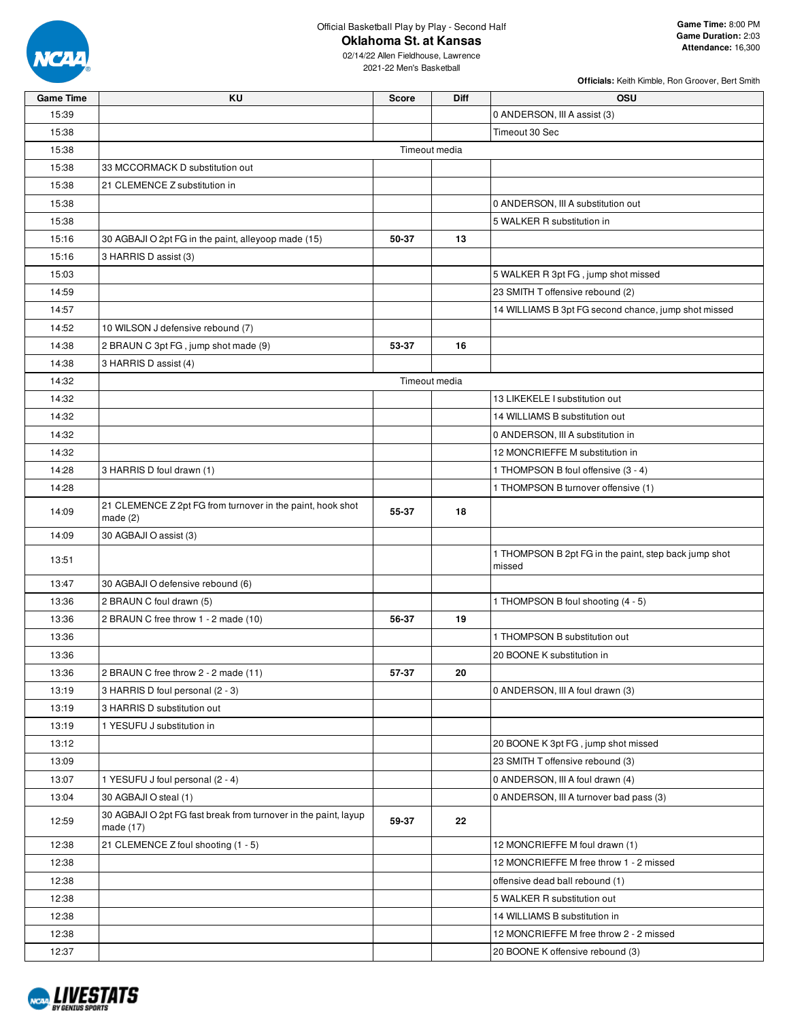

### **Oklahoma St. at Kansas**

2021-22 Men's Basketball

| <b>Officials:</b> Keith Kimble, Ron Groover, Bert Smith |  |
|---------------------------------------------------------|--|
|                                                         |  |

| <b>Game Time</b> | KU                                                                           | <b>Score</b>  | <b>Diff</b> | <b>OSU</b>                                                      |  |  |  |  |
|------------------|------------------------------------------------------------------------------|---------------|-------------|-----------------------------------------------------------------|--|--|--|--|
| 15:39            |                                                                              |               |             | 0 ANDERSON, III A assist (3)                                    |  |  |  |  |
| 15:38            |                                                                              |               |             | Timeout 30 Sec                                                  |  |  |  |  |
| 15:38            | Timeout media                                                                |               |             |                                                                 |  |  |  |  |
| 15:38            | 33 MCCORMACK D substitution out                                              |               |             |                                                                 |  |  |  |  |
| 15:38            | 21 CLEMENCE Z substitution in                                                |               |             |                                                                 |  |  |  |  |
| 15:38            |                                                                              |               |             | 0 ANDERSON, III A substitution out                              |  |  |  |  |
| 15:38            |                                                                              |               |             | 5 WALKER R substitution in                                      |  |  |  |  |
| 15:16            | 30 AGBAJI O 2pt FG in the paint, alleyoop made (15)                          | 50-37         | 13          |                                                                 |  |  |  |  |
| 15:16            | 3 HARRIS D assist (3)                                                        |               |             |                                                                 |  |  |  |  |
| 15:03            |                                                                              |               |             | 5 WALKER R 3pt FG, jump shot missed                             |  |  |  |  |
| 14:59            |                                                                              |               |             | 23 SMITH T offensive rebound (2)                                |  |  |  |  |
| 14:57            |                                                                              |               |             | 14 WILLIAMS B 3pt FG second chance, jump shot missed            |  |  |  |  |
| 14:52            | 10 WILSON J defensive rebound (7)                                            |               |             |                                                                 |  |  |  |  |
| 14:38            | 2 BRAUN C 3pt FG, jump shot made (9)                                         | 53-37         | 16          |                                                                 |  |  |  |  |
| 14:38            | 3 HARRIS D assist (4)                                                        |               |             |                                                                 |  |  |  |  |
| 14:32            |                                                                              | Timeout media |             |                                                                 |  |  |  |  |
| 14:32            |                                                                              |               |             | 13 LIKEKELE I substitution out                                  |  |  |  |  |
| 14:32            |                                                                              |               |             | 14 WILLIAMS B substitution out                                  |  |  |  |  |
| 14:32            |                                                                              |               |             | 0 ANDERSON, III A substitution in                               |  |  |  |  |
| 14:32            |                                                                              |               |             | 12 MONCRIEFFE M substitution in                                 |  |  |  |  |
| 14:28            | 3 HARRIS D foul drawn (1)                                                    |               |             | 1 THOMPSON B foul offensive (3 - 4)                             |  |  |  |  |
| 14:28            |                                                                              |               |             | 1 THOMPSON B turnover offensive (1)                             |  |  |  |  |
| 14:09            | 21 CLEMENCE Z 2pt FG from turnover in the paint, hook shot<br>made $(2)$     | 55-37         | 18          |                                                                 |  |  |  |  |
| 14:09            | 30 AGBAJI O assist (3)                                                       |               |             |                                                                 |  |  |  |  |
| 13:51            |                                                                              |               |             | 1 THOMPSON B 2pt FG in the paint, step back jump shot<br>missed |  |  |  |  |
| 13:47            | 30 AGBAJI O defensive rebound (6)                                            |               |             |                                                                 |  |  |  |  |
| 13:36            | 2 BRAUN C foul drawn (5)                                                     |               |             | 1 THOMPSON B foul shooting (4 - 5)                              |  |  |  |  |
| 13:36            | 2 BRAUN C free throw 1 - 2 made (10)                                         | 56-37         | 19          |                                                                 |  |  |  |  |
| 13:36            |                                                                              |               |             | 1 THOMPSON B substitution out                                   |  |  |  |  |
| 13:36            |                                                                              |               |             | 20 BOONE K substitution in                                      |  |  |  |  |
| 13:36            | 2 BRAUN C free throw 2 - 2 made (11)                                         | 57-37         | 20          |                                                                 |  |  |  |  |
| 13:19            | 3 HARRIS D foul personal (2 - 3)                                             |               |             | 0 ANDERSON, III A foul drawn (3)                                |  |  |  |  |
| 13:19            | 3 HARRIS D substitution out                                                  |               |             |                                                                 |  |  |  |  |
| 13:19            | 1 YESUFU J substitution in                                                   |               |             |                                                                 |  |  |  |  |
| 13:12            |                                                                              |               |             | 20 BOONE K 3pt FG, jump shot missed                             |  |  |  |  |
| 13:09            |                                                                              |               |             | 23 SMITH T offensive rebound (3)                                |  |  |  |  |
| 13:07            | 1 YESUFU J foul personal (2 - 4)                                             |               |             | 0 ANDERSON, III A foul drawn (4)                                |  |  |  |  |
| 13:04            | 30 AGBAJI O steal (1)                                                        |               |             | 0 ANDERSON, III A turnover bad pass (3)                         |  |  |  |  |
| 12:59            | 30 AGBAJI O 2pt FG fast break from turnover in the paint, layup<br>made (17) | 59-37         | 22          |                                                                 |  |  |  |  |
| 12:38            | 21 CLEMENCE Z foul shooting (1 - 5)                                          |               |             | 12 MONCRIEFFE M foul drawn (1)                                  |  |  |  |  |
| 12:38            |                                                                              |               |             | 12 MONCRIEFFE M free throw 1 - 2 missed                         |  |  |  |  |
| 12:38            |                                                                              |               |             | offensive dead ball rebound (1)                                 |  |  |  |  |
| 12:38            |                                                                              |               |             | 5 WALKER R substitution out                                     |  |  |  |  |
| 12:38            |                                                                              |               |             | 14 WILLIAMS B substitution in                                   |  |  |  |  |
| 12:38            |                                                                              |               |             | 12 MONCRIEFFE M free throw 2 - 2 missed                         |  |  |  |  |
| 12:37            |                                                                              |               |             | 20 BOONE K offensive rebound (3)                                |  |  |  |  |

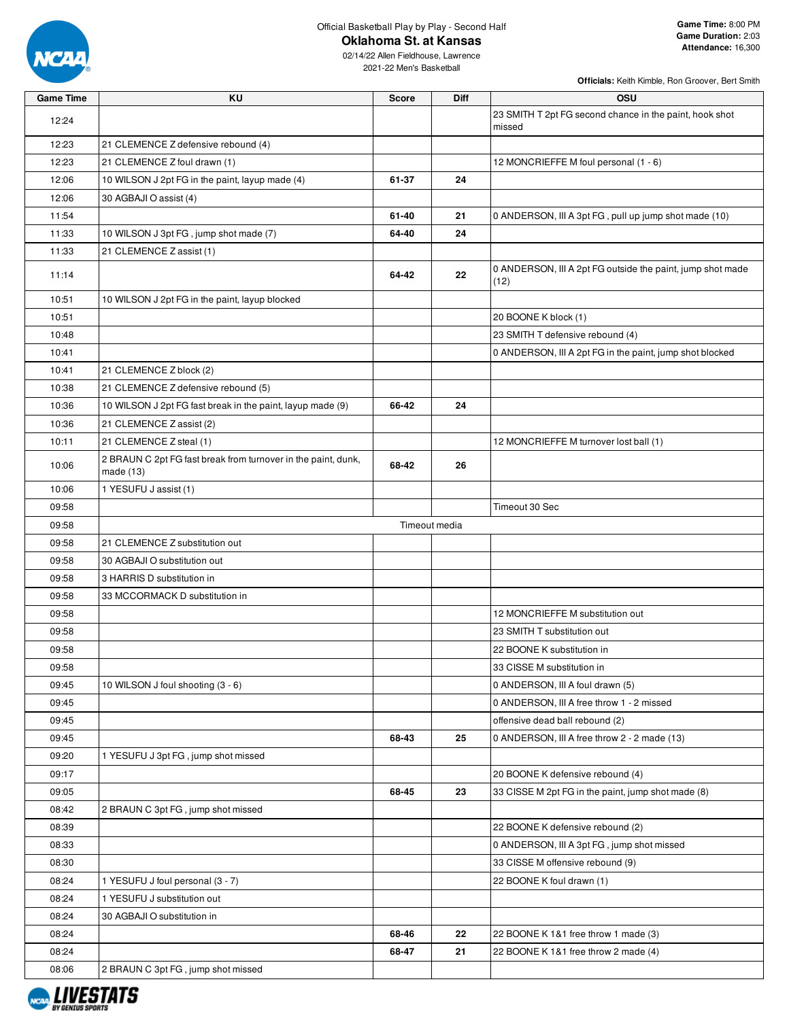

#### **Oklahoma St. at Kansas**

| <b>Game Time</b> | KU                                                                           | <b>Score</b>  | Diff | <b>OSU</b>                                                         |
|------------------|------------------------------------------------------------------------------|---------------|------|--------------------------------------------------------------------|
| 12:24            |                                                                              |               |      | 23 SMITH T 2pt FG second chance in the paint, hook shot<br>missed  |
| 12:23            | 21 CLEMENCE Z defensive rebound (4)                                          |               |      |                                                                    |
| 12:23            | 21 CLEMENCE Z foul drawn (1)                                                 |               |      | 12 MONCRIEFFE M foul personal (1 - 6)                              |
| 12:06            | 10 WILSON J 2pt FG in the paint, layup made (4)                              | 61-37         | 24   |                                                                    |
| 12:06            | 30 AGBAJI O assist (4)                                                       |               |      |                                                                    |
| 11:54            |                                                                              | 61-40         | 21   | 0 ANDERSON, III A 3pt FG, pull up jump shot made (10)              |
| 11:33            | 10 WILSON J 3pt FG, jump shot made (7)                                       | 64-40         | 24   |                                                                    |
| 11:33            | 21 CLEMENCE Z assist (1)                                                     |               |      |                                                                    |
| 11:14            |                                                                              | 64-42         | 22   | 0 ANDERSON, III A 2pt FG outside the paint, jump shot made<br>(12) |
| 10:51            | 10 WILSON J 2pt FG in the paint, layup blocked                               |               |      |                                                                    |
| 10:51            |                                                                              |               |      | 20 BOONE K block (1)                                               |
| 10:48            |                                                                              |               |      | 23 SMITH T defensive rebound (4)                                   |
| 10:41            |                                                                              |               |      | 0 ANDERSON, III A 2pt FG in the paint, jump shot blocked           |
| 10:41            | 21 CLEMENCE Z block (2)                                                      |               |      |                                                                    |
| 10:38            | 21 CLEMENCE Z defensive rebound (5)                                          |               |      |                                                                    |
| 10:36            | 10 WILSON J 2pt FG fast break in the paint, layup made (9)                   | 66-42         | 24   |                                                                    |
| 10:36            | 21 CLEMENCE Z assist (2)                                                     |               |      |                                                                    |
| 10:11            | 21 CLEMENCE Z steal (1)                                                      |               |      | 12 MONCRIEFFE M turnover lost ball (1)                             |
| 10:06            | 2 BRAUN C 2pt FG fast break from turnover in the paint, dunk,<br>made $(13)$ | 68-42         | 26   |                                                                    |
| 10:06            | 1 YESUFU J assist (1)                                                        |               |      |                                                                    |
| 09:58            |                                                                              |               |      | Timeout 30 Sec                                                     |
| 09:58            |                                                                              | Timeout media |      |                                                                    |
| 09:58            | 21 CLEMENCE Z substitution out                                               |               |      |                                                                    |
| 09:58            | 30 AGBAJI O substitution out                                                 |               |      |                                                                    |
| 09:58            | 3 HARRIS D substitution in                                                   |               |      |                                                                    |
| 09:58            | 33 MCCORMACK D substitution in                                               |               |      |                                                                    |
| 09:58            |                                                                              |               |      | 12 MONCRIEFFE M substitution out                                   |
| 09:58            |                                                                              |               |      | 23 SMITH T substitution out                                        |
| 09:58            |                                                                              |               |      | 22 BOONE K substitution in                                         |
| 09:58            |                                                                              |               |      | 33 CISSE M substitution in                                         |
| 09:45            | 10 WILSON J foul shooting (3 - 6)                                            |               |      | 0 ANDERSON, III A foul drawn (5)                                   |
| 09:45            |                                                                              |               |      | 0 ANDERSON, III A free throw 1 - 2 missed                          |
| 09:45            |                                                                              |               |      | offensive dead ball rebound (2)                                    |
| 09:45            |                                                                              | 68-43         | 25   | 0 ANDERSON, III A free throw 2 - 2 made (13)                       |
| 09:20            | 1 YESUFU J 3pt FG, jump shot missed                                          |               |      |                                                                    |
| 09:17            |                                                                              |               |      | 20 BOONE K defensive rebound (4)                                   |
| 09:05            |                                                                              | 68-45         | 23   | 33 CISSE M 2pt FG in the paint, jump shot made (8)                 |
| 08:42            | 2 BRAUN C 3pt FG, jump shot missed                                           |               |      |                                                                    |
| 08:39            |                                                                              |               |      | 22 BOONE K defensive rebound (2)                                   |
| 08:33            |                                                                              |               |      | 0 ANDERSON, III A 3pt FG, jump shot missed                         |
| 08:30            |                                                                              |               |      | 33 CISSE M offensive rebound (9)                                   |
| 08:24            | 1 YESUFU J foul personal (3 - 7)                                             |               |      | 22 BOONE K foul drawn (1)                                          |
| 08:24            | 1 YESUFU J substitution out                                                  |               |      |                                                                    |
| 08:24            | 30 AGBAJI O substitution in                                                  |               |      |                                                                    |
| 08:24            |                                                                              | 68-46         | 22   | 22 BOONE K 1&1 free throw 1 made (3)                               |
| 08:24            |                                                                              | 68-47         | 21   | 22 BOONE K 1&1 free throw 2 made (4)                               |
| 08:06            | 2 BRAUN C 3pt FG, jump shot missed                                           |               |      |                                                                    |

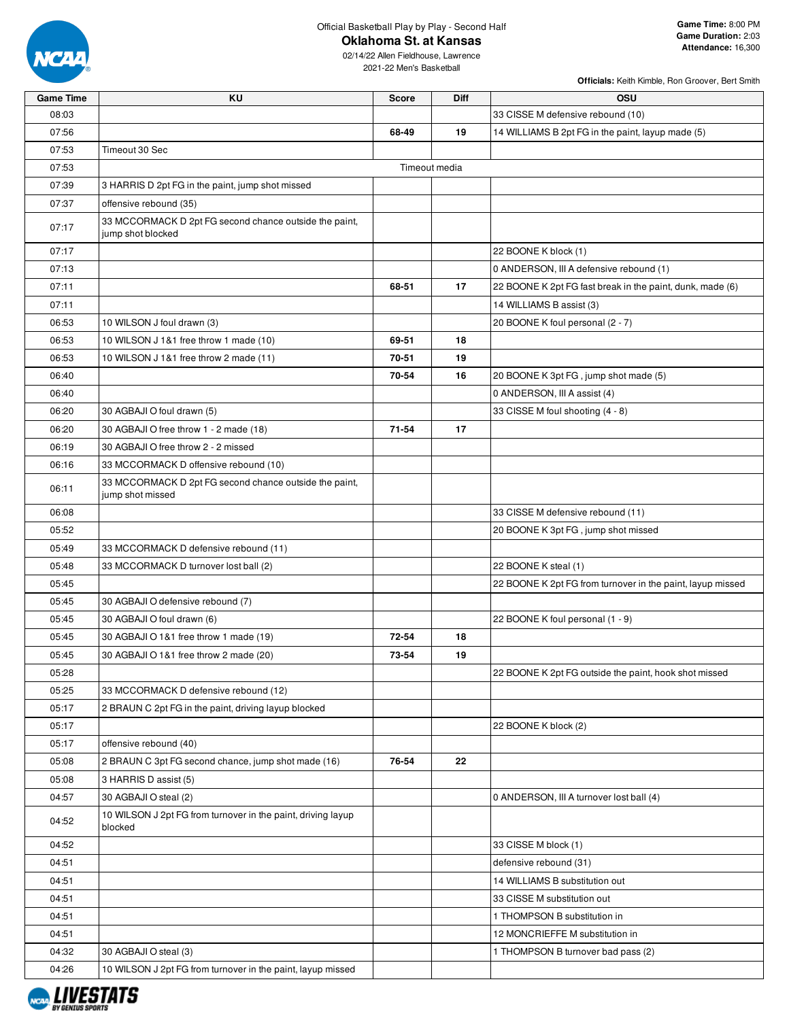

#### **Oklahoma St. at Kansas**

02/14/22 Allen Fieldhouse, Lawrence 2021-22 Men's Basketball

| <b>Officials:</b> Keith Kimble, Ron Groover, Bert Smith |  |  |  |
|---------------------------------------------------------|--|--|--|

| <b>Game Time</b> | KU                                                                          | <b>Score</b> | <b>Diff</b>   | OSU                                                        |
|------------------|-----------------------------------------------------------------------------|--------------|---------------|------------------------------------------------------------|
| 08:03            |                                                                             |              |               | 33 CISSE M defensive rebound (10)                          |
| 07:56            |                                                                             | 68-49        | 19            | 14 WILLIAMS B 2pt FG in the paint, layup made (5)          |
| 07:53            | Timeout 30 Sec                                                              |              |               |                                                            |
| 07:53            |                                                                             |              | Timeout media |                                                            |
| 07:39            | 3 HARRIS D 2pt FG in the paint, jump shot missed                            |              |               |                                                            |
| 07:37            | offensive rebound (35)                                                      |              |               |                                                            |
| 07:17            | 33 MCCORMACK D 2pt FG second chance outside the paint,<br>jump shot blocked |              |               |                                                            |
| 07:17            |                                                                             |              |               | 22 BOONE K block (1)                                       |
| 07:13            |                                                                             |              |               | 0 ANDERSON, III A defensive rebound (1)                    |
| 07:11            |                                                                             | 68-51        | 17            | 22 BOONE K 2pt FG fast break in the paint, dunk, made (6)  |
| 07:11            |                                                                             |              |               | 14 WILLIAMS B assist (3)                                   |
| 06:53            | 10 WILSON J foul drawn (3)                                                  |              |               | 20 BOONE K foul personal (2 - 7)                           |
| 06:53            | 10 WILSON J 1&1 free throw 1 made (10)                                      | 69-51        | 18            |                                                            |
| 06:53            | 10 WILSON J 1&1 free throw 2 made (11)                                      | 70-51        | 19            |                                                            |
| 06:40            |                                                                             | 70-54        | 16            | 20 BOONE K 3pt FG, jump shot made (5)                      |
| 06:40            |                                                                             |              |               | 0 ANDERSON, III A assist (4)                               |
| 06:20            | 30 AGBAJI O foul drawn (5)                                                  |              |               | 33 CISSE M foul shooting (4 - 8)                           |
| 06:20            | 30 AGBAJI O free throw 1 - 2 made (18)                                      | 71-54        | 17            |                                                            |
| 06:19            | 30 AGBAJI O free throw 2 - 2 missed                                         |              |               |                                                            |
| 06:16            | 33 MCCORMACK D offensive rebound (10)                                       |              |               |                                                            |
| 06:11            | 33 MCCORMACK D 2pt FG second chance outside the paint,<br>jump shot missed  |              |               |                                                            |
| 06:08            |                                                                             |              |               | 33 CISSE M defensive rebound (11)                          |
| 05:52            |                                                                             |              |               | 20 BOONE K 3pt FG, jump shot missed                        |
| 05:49            | 33 MCCORMACK D defensive rebound (11)                                       |              |               |                                                            |
| 05:48            | 33 MCCORMACK D turnover lost ball (2)                                       |              |               | 22 BOONE K steal (1)                                       |
| 05:45            |                                                                             |              |               | 22 BOONE K 2pt FG from turnover in the paint, layup missed |
| 05:45            | 30 AGBAJI O defensive rebound (7)                                           |              |               |                                                            |
| 05:45            | 30 AGBAJI O foul drawn (6)                                                  |              |               | 22 BOONE K foul personal (1 - 9)                           |
| 05:45            | 30 AGBAJI O 1&1 free throw 1 made (19)                                      | 72-54        | 18            |                                                            |
| 05:45            | 30 AGBAJI O 1&1 free throw 2 made (20)                                      | 73-54        | 19            |                                                            |
| 05:28            |                                                                             |              |               | 22 BOONE K 2pt FG outside the paint, hook shot missed      |
| 05:25            | 33 MCCORMACK D defensive rebound (12)                                       |              |               |                                                            |
| 05:17            | 2 BRAUN C 2pt FG in the paint, driving layup blocked                        |              |               |                                                            |
| 05:17            |                                                                             |              |               | 22 BOONE K block (2)                                       |
| 05:17            | offensive rebound (40)                                                      |              |               |                                                            |
| 05:08            | 2 BRAUN C 3pt FG second chance, jump shot made (16)                         | 76-54        | 22            |                                                            |
| 05:08            | 3 HARRIS D assist (5)                                                       |              |               |                                                            |
| 04:57            | 30 AGBAJI O steal (2)                                                       |              |               | 0 ANDERSON, III A turnover lost ball (4)                   |
|                  | 10 WILSON J 2pt FG from turnover in the paint, driving layup                |              |               |                                                            |
| 04:52            | blocked                                                                     |              |               |                                                            |
| 04:52            |                                                                             |              |               | 33 CISSE M block (1)                                       |
| 04:51            |                                                                             |              |               | defensive rebound (31)                                     |
| 04:51            |                                                                             |              |               | 14 WILLIAMS B substitution out                             |
| 04:51            |                                                                             |              |               | 33 CISSE M substitution out                                |
| 04:51            |                                                                             |              |               | 1 THOMPSON B substitution in                               |
| 04:51            |                                                                             |              |               | 12 MONCRIEFFE M substitution in                            |
| 04:32            | 30 AGBAJI O steal (3)                                                       |              |               | 1 THOMPSON B turnover bad pass (2)                         |
| 04:26            | 10 WILSON J 2pt FG from turnover in the paint, layup missed                 |              |               |                                                            |

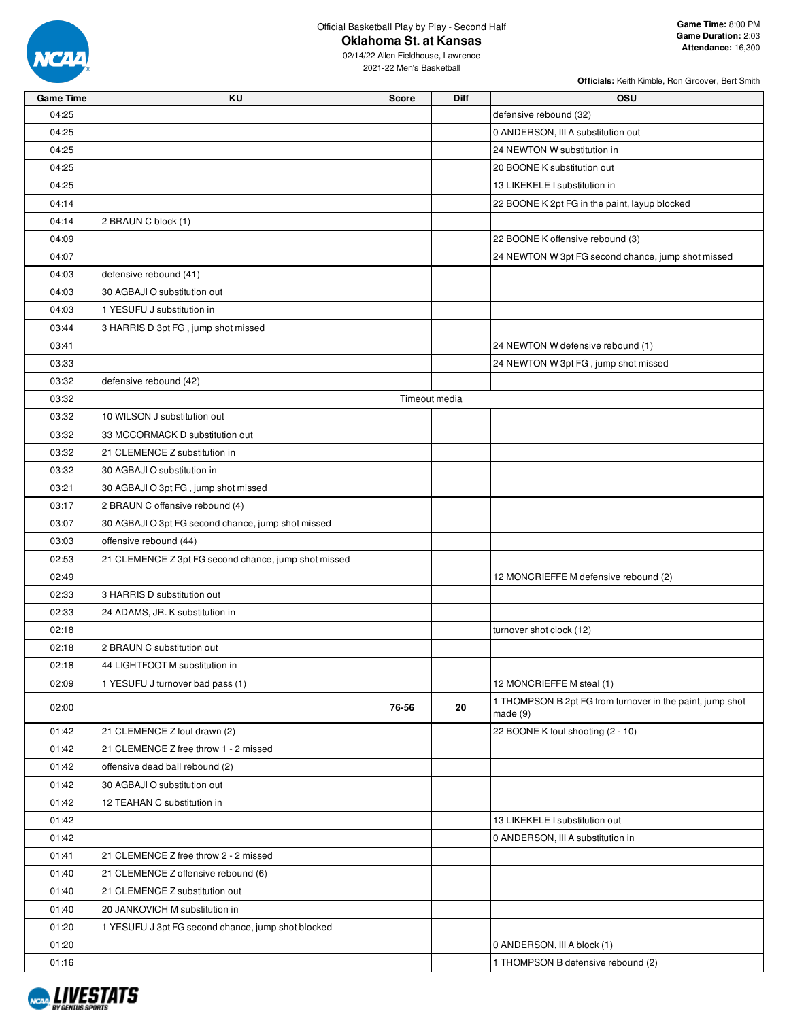

**Oklahoma St. at Kansas**

| <b>Game Time</b> | KU                                                   | <b>Score</b>  | Diff | OSU                                                                  |
|------------------|------------------------------------------------------|---------------|------|----------------------------------------------------------------------|
| 04:25            |                                                      |               |      | defensive rebound (32)                                               |
| 04:25            |                                                      |               |      | 0 ANDERSON, III A substitution out                                   |
| 04:25            |                                                      |               |      | 24 NEWTON W substitution in                                          |
| 04:25            |                                                      |               |      | 20 BOONE K substitution out                                          |
| 04:25            |                                                      |               |      | 13 LIKEKELE I substitution in                                        |
| 04:14            |                                                      |               |      | 22 BOONE K 2pt FG in the paint, layup blocked                        |
| 04:14            | 2 BRAUN C block (1)                                  |               |      |                                                                      |
| 04:09            |                                                      |               |      | 22 BOONE K offensive rebound (3)                                     |
| 04:07            |                                                      |               |      | 24 NEWTON W 3pt FG second chance, jump shot missed                   |
| 04:03            | defensive rebound (41)                               |               |      |                                                                      |
| 04:03            | 30 AGBAJI O substitution out                         |               |      |                                                                      |
| 04:03            | 1 YESUFU J substitution in                           |               |      |                                                                      |
| 03:44            | 3 HARRIS D 3pt FG, jump shot missed                  |               |      |                                                                      |
| 03:41            |                                                      |               |      | 24 NEWTON W defensive rebound (1)                                    |
| 03:33            |                                                      |               |      | 24 NEWTON W 3pt FG, jump shot missed                                 |
| 03:32            | defensive rebound (42)                               |               |      |                                                                      |
| 03:32            |                                                      | Timeout media |      |                                                                      |
| 03:32            | 10 WILSON J substitution out                         |               |      |                                                                      |
| 03:32            | 33 MCCORMACK D substitution out                      |               |      |                                                                      |
| 03:32            | 21 CLEMENCE Z substitution in                        |               |      |                                                                      |
| 03:32            | 30 AGBAJI O substitution in                          |               |      |                                                                      |
| 03:21            | 30 AGBAJI O 3pt FG, jump shot missed                 |               |      |                                                                      |
| 03:17            | 2 BRAUN C offensive rebound (4)                      |               |      |                                                                      |
|                  |                                                      |               |      |                                                                      |
| 03:07            | 30 AGBAJI O 3pt FG second chance, jump shot missed   |               |      |                                                                      |
| 03:03            | offensive rebound (44)                               |               |      |                                                                      |
| 02:53            | 21 CLEMENCE Z 3pt FG second chance, jump shot missed |               |      |                                                                      |
| 02:49            |                                                      |               |      | 12 MONCRIEFFE M defensive rebound (2)                                |
| 02:33            | 3 HARRIS D substitution out                          |               |      |                                                                      |
| 02:33            | 24 ADAMS, JR. K substitution in                      |               |      |                                                                      |
| 02:18            |                                                      |               |      | turnover shot clock (12)                                             |
| 02:18            | 2 BRAUN C substitution out                           |               |      |                                                                      |
| 02:18            | 44 LIGHTFOOT M substitution in                       |               |      |                                                                      |
| 02:09            | 1 YESUFU J turnover bad pass (1)                     |               |      | 12 MONCRIEFFE M steal (1)                                            |
| 02:00            |                                                      | 76-56         | 20   | 1 THOMPSON B 2pt FG from turnover in the paint, jump shot<br>made(9) |
| 01:42            | 21 CLEMENCE Z foul drawn (2)                         |               |      | 22 BOONE K foul shooting (2 - 10)                                    |
| 01:42            | 21 CLEMENCE Z free throw 1 - 2 missed                |               |      |                                                                      |
| 01:42            | offensive dead ball rebound (2)                      |               |      |                                                                      |
| 01:42            | 30 AGBAJI O substitution out                         |               |      |                                                                      |
| 01:42            | 12 TEAHAN C substitution in                          |               |      |                                                                      |
| 01:42            |                                                      |               |      | 13 LIKEKELE I substitution out                                       |
| 01:42            |                                                      |               |      | 0 ANDERSON, III A substitution in                                    |
| 01:41            | 21 CLEMENCE Z free throw 2 - 2 missed                |               |      |                                                                      |
| 01:40            | 21 CLEMENCE Z offensive rebound (6)                  |               |      |                                                                      |
| 01:40            | 21 CLEMENCE Z substitution out                       |               |      |                                                                      |
| 01:40            | 20 JANKOVICH M substitution in                       |               |      |                                                                      |
| 01:20            | 1 YESUFU J 3pt FG second chance, jump shot blocked   |               |      |                                                                      |
| 01:20            |                                                      |               |      | 0 ANDERSON, III A block (1)                                          |
| 01:16            |                                                      |               |      | 1 THOMPSON B defensive rebound (2)                                   |

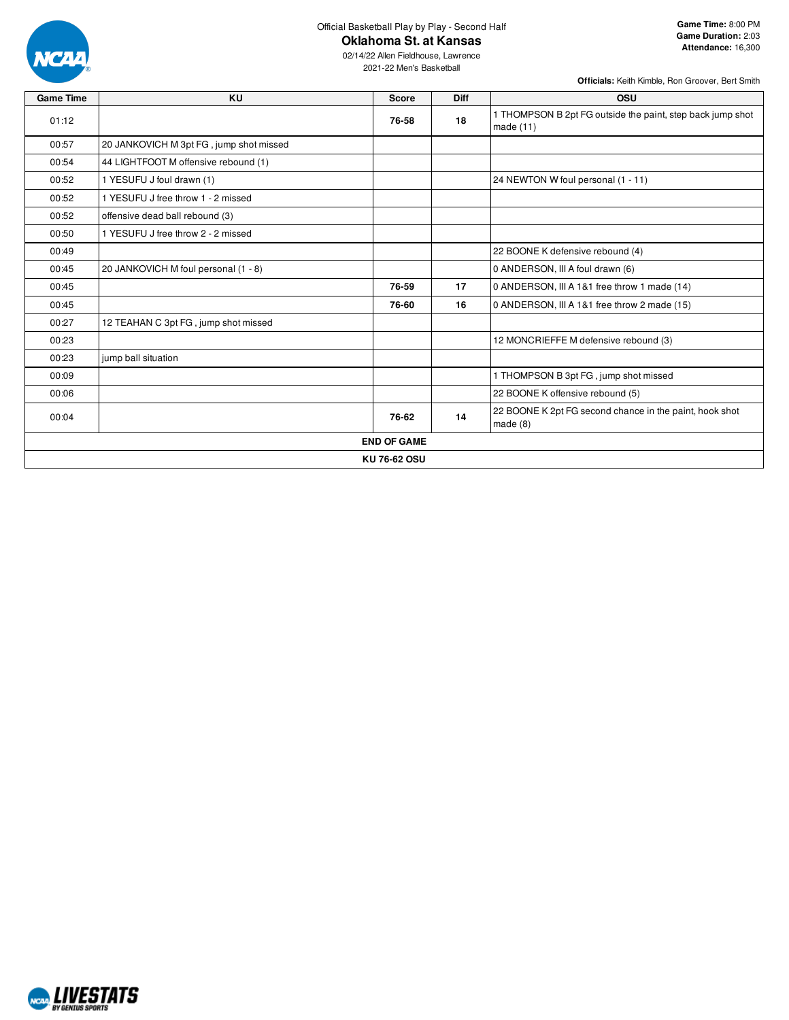

**Oklahoma St. at Kansas**

**Officials:** Keith Kimble, Ron Groover, Bert Smith

02/14/22 Allen Fieldhouse, Lawrence 2021-22 Men's Basketball

| <b>Game Time</b> | <b>KU</b>                               | <b>Score</b>       | Diff | <b>OSU</b>                                                                |
|------------------|-----------------------------------------|--------------------|------|---------------------------------------------------------------------------|
| 01:12            |                                         | 76-58              | 18   | 1 THOMPSON B 2pt FG outside the paint, step back jump shot<br>made $(11)$ |
| 00:57            | 20 JANKOVICH M 3pt FG, jump shot missed |                    |      |                                                                           |
| 00:54            | 44 LIGHTFOOT M offensive rebound (1)    |                    |      |                                                                           |
| 00:52            | 1 YESUFU J foul drawn (1)               |                    |      | 24 NEWTON W foul personal (1 - 11)                                        |
| 00:52            | 1 YESUFU J free throw 1 - 2 missed      |                    |      |                                                                           |
| 00:52            | offensive dead ball rebound (3)         |                    |      |                                                                           |
| 00:50            | 1 YESUFU J free throw 2 - 2 missed      |                    |      |                                                                           |
| 00:49            |                                         |                    |      | 22 BOONE K defensive rebound (4)                                          |
| 00:45            | 20 JANKOVICH M foul personal (1 - 8)    |                    |      | 0 ANDERSON, III A foul drawn (6)                                          |
| 00:45            |                                         | 76-59              | 17   | 0 ANDERSON, III A 1&1 free throw 1 made (14)                              |
| 00:45            |                                         | 76-60              | 16   | 0 ANDERSON, III A 1&1 free throw 2 made (15)                              |
| 00:27            | 12 TEAHAN C 3pt FG, jump shot missed    |                    |      |                                                                           |
| 00:23            |                                         |                    |      | 12 MONCRIEFFE M defensive rebound (3)                                     |
| 00:23            | jump ball situation                     |                    |      |                                                                           |
| 00:09            |                                         |                    |      | 1 THOMPSON B 3pt FG, jump shot missed                                     |
| 00:06            |                                         |                    |      | 22 BOONE K offensive rebound (5)                                          |
| 00:04            |                                         | 76-62              | 14   | 22 BOONE K 2pt FG second chance in the paint, hook shot<br>made $(8)$     |
|                  |                                         | <b>END OF GAME</b> |      |                                                                           |
|                  |                                         | KU 76-62 OSU       |      |                                                                           |

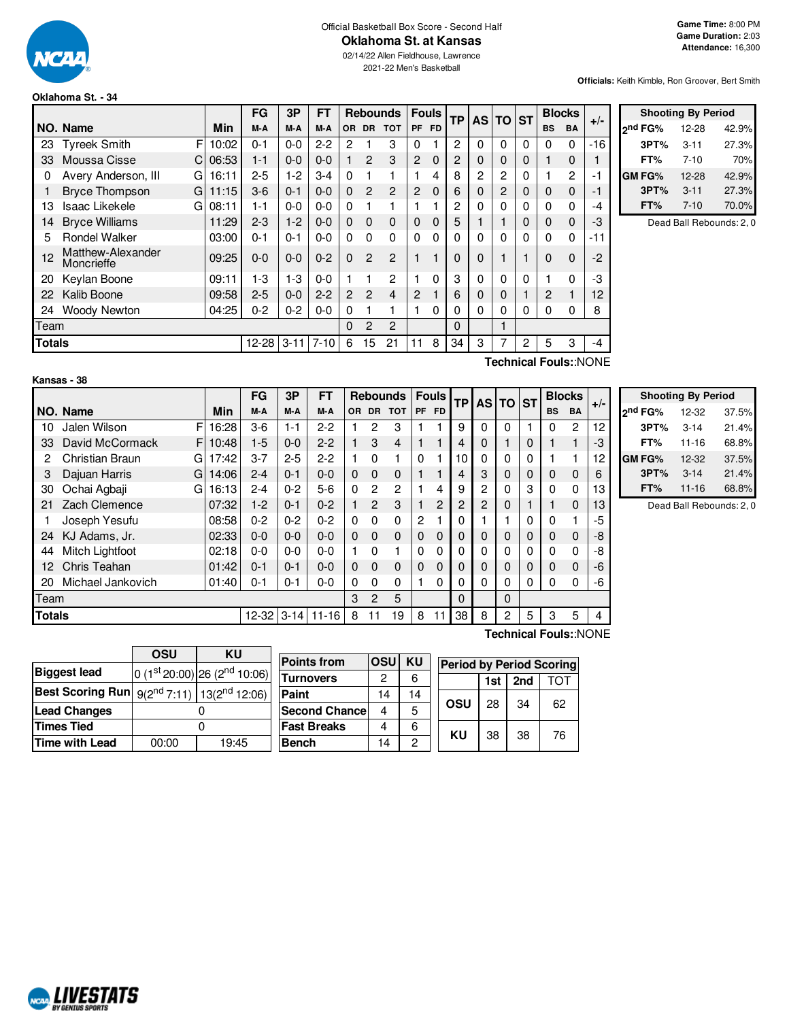

# Official Basketball Box Score - Second Half

**Oklahoma St. at Kansas**

02/14/22 Allen Fieldhouse, Lawrence 2021-22 Men's Basketball

**Officials:** Keith Kimble, Ron Groover, Bert Smith

#### **Oklahoma St. - 34**

|               |                                            |       | FG        | 3P       | <b>FT</b> |                |                | <b>Rebounds</b> |                | <b>Fouls</b> | <b>TP</b> |              | AS TO ST     |              |           | <b>Blocks</b>  | $+/-$ |  |
|---------------|--------------------------------------------|-------|-----------|----------|-----------|----------------|----------------|-----------------|----------------|--------------|-----------|--------------|--------------|--------------|-----------|----------------|-------|--|
|               | NO. Name                                   | Min   | M-A       | M-A      | M-A       | <b>OR</b>      | <b>DR</b>      | <b>TOT</b>      | <b>PF</b>      | <b>FD</b>    |           |              |              |              | <b>BS</b> | <b>BA</b>      |       |  |
| 23            | F<br><b>Tyreek Smith</b>                   | 10:02 | $0 - 1$   | $0 - 0$  | $2 - 2$   | 2              |                | 3               | 0              |              | 2         | 0            | 0            | $\Omega$     | 0         | $\Omega$       | $-16$ |  |
| 33            | Moussa Cisse<br>C.                         | 06:53 | $1 - 1$   | $0 - 0$  | $0 - 0$   |                | 2              | 3               | $\overline{2}$ | $\mathbf 0$  | 2         | 0            | 0            | $\mathbf{0}$ |           | 0              |       |  |
| 0             | Avery Anderson, III<br>G                   | 16:11 | $2 - 5$   | $1-2$    | $3 - 4$   | 0              |                |                 |                | 4            | 8         | 2            | 2            | 0            |           | $\overline{c}$ | -1    |  |
|               | <b>Bryce Thompson</b><br>G                 | 11:15 | $3-6$     | $0 - 1$  | $0 - 0$   | $\Omega$       | $\mathbf{2}$   | $\overline{c}$  | $\overline{2}$ | $\Omega$     | 6         | 0            | 2            | 0            | 0         | 0              | -1    |  |
| 13            | Isaac Likekele<br>GI                       | 08:11 | $1 - 1$   | $0 - 0$  | $0 - 0$   | 0              |                |                 |                |              | 2         | 0            | 0            | 0            | 0         | 0              | -4    |  |
| 14            | <b>Bryce Williams</b>                      | 11:29 | $2 - 3$   | $1 - 2$  | $0 - 0$   | 0              | $\mathbf 0$    | 0               | $\mathbf 0$    | $\Omega$     | 5         |              |              | 0            | 0         | $\mathbf 0$    | -3    |  |
| 5             | <b>Rondel Walker</b>                       | 03:00 | $0 - 1$   | $0 - 1$  | $0 - 0$   | 0              | $\Omega$       | 0               | $\Omega$       | $\Omega$     | 0         | 0            | 0            | $\Omega$     | 0         | $\Omega$       | -11   |  |
| 12            | Matthew-Alexander<br>Moncrieffe            | 09:25 | $0-0$     | $0 - 0$  | $0 - 2$   | $\Omega$       | $\overline{2}$ | 2               |                |              | 0         | 0            |              | 1            | 0         | $\Omega$       | $-2$  |  |
| 20            | Keylan Boone                               | 09:11 | $1 - 3$   | $1-3$    | $0-0$     |                |                | 2               |                | $\Omega$     | 3         | $\mathbf{0}$ | $\mathbf{0}$ | 0            |           | 0              | -3    |  |
| 22            | Kalib Boone                                | 09:58 | $2 - 5$   | $0 - 0$  | $2 - 2$   | $\overline{2}$ | $\overline{2}$ | 4               | $\overline{2}$ |              | 6         | 0            | 0            |              | 2         |                | 12    |  |
| 24            | Woody Newton                               | 04:25 | $0 - 2$   | $0 - 2$  | $0-0$     | 0              |                |                 |                | 0            | 0         | 0            | 0            | 0            | 0         | 0              | 8     |  |
| Team          |                                            |       |           |          |           | $\Omega$       | $\mathfrak{p}$ | $\overline{2}$  |                |              | $\Omega$  |              |              |              |           |                |       |  |
| <b>Totals</b> |                                            |       | $12 - 28$ | $3 - 11$ | $7 - 10$  | 6              | 15             | 21              | 11             | 8            | 34        | 3            |              | 2            | 5         | 3              | -4    |  |
|               | $T$ oobnigol Equipu $\Lambda$ I $\cap$ NIE |       |           |          |           |                |                |                 |                |              |           |              |              |              |           |                |       |  |

|         | <b>Shooting By Period</b> |       |  |  |  |  |  |  |  |  |  |
|---------|---------------------------|-------|--|--|--|--|--|--|--|--|--|
| ond FG% | 12-28                     | 42.9% |  |  |  |  |  |  |  |  |  |
| 3PT%    | $3 - 11$                  | 27.3% |  |  |  |  |  |  |  |  |  |
| FT%     | $7 - 10$                  | 70%   |  |  |  |  |  |  |  |  |  |
| GM FG%  | 12-28                     | 42.9% |  |  |  |  |  |  |  |  |  |
| 3PT%    | $3 - 11$                  | 27.3% |  |  |  |  |  |  |  |  |  |
| FT%     | $7 - 10$                  | 70.0% |  |  |  |  |  |  |  |  |  |

Dead Ball Rebounds: 2, 0

#### **Kansas - 38**

**Technical Fouls:**:NONE

|               |                      |       | FG      | 3P       | FT        |          |                | <b>Rebounds</b> |           | <b>Fouls</b>   | <b>TP</b>        | <b>AS TO</b> |          | <b>ST</b> |           | <b>Blocks</b> |       |
|---------------|----------------------|-------|---------|----------|-----------|----------|----------------|-----------------|-----------|----------------|------------------|--------------|----------|-----------|-----------|---------------|-------|
|               | NO. Name             | Min   | M-A     | M-A      | M-A       | OR.      | <b>DR</b>      | <b>TOT</b>      | <b>PF</b> | <b>FD</b>      |                  |              |          |           | <b>BS</b> | <b>BA</b>     | $+/-$ |
| 10            | Jalen Wilson<br>F    | 16:28 | $3-6$   | $1 - 1$  | $2-2$     |          | 2              | 3               |           |                | 9                | $\Omega$     | $\Omega$ |           | 0         | 2             | 12    |
| 33            | David McCormack<br>F | 10:48 | $1-5$   | $0 - 0$  | $2 - 2$   |          | 3              | $\overline{4}$  |           |                | 4                | 0            |          | 0         |           |               | -3    |
| 2             | Christian Braun<br>G | 17:42 | $3 - 7$ | $2 - 5$  | $2-2$     |          | $\Omega$       |                 | $\Omega$  |                | 10 <sup>10</sup> | 0            | 0        | $\Omega$  |           |               | 12    |
| 3             | Dajuan Harris<br>G   | 14:06 | $2 - 4$ | $0 - 1$  | $0 - 0$   | $\Omega$ | $\Omega$       | $\Omega$        |           |                | 4                | 3            | $\Omega$ | $\Omega$  | $\Omega$  | $\Omega$      | 6     |
| 30            | Ochai Agbaji<br>G    | 16:13 | $2 - 4$ | $0 - 2$  | $5-6$     | $\Omega$ | 2              | 2               |           | 4              | 9                | 2            | $\Omega$ | 3         | $\Omega$  | 0             | 13    |
| 21            | Zach Clemence        | 07:32 | $1-2$   | $0 - 1$  | $0 - 2$   |          | $\mathfrak{p}$ | 3               |           | $\overline{2}$ | 2                | 2            | $\Omega$ |           | 1         | $\Omega$      | 13    |
|               | Joseph Yesufu        | 08:58 | $0 - 2$ | $0 - 2$  | $0 - 2$   | $\Omega$ | $\Omega$       | $\Omega$        | 2         |                | 0                |              |          | $\Omega$  | $\Omega$  |               | -5    |
| 24            | KJ Adams, Jr.        | 02:33 | $0 - 0$ | $0 - 0$  | $0 - 0$   | $\Omega$ | $\Omega$       | $\Omega$        | $\Omega$  | 0              | 0                | 0            | $\Omega$ | 0         | $\Omega$  | $\Omega$      | -8    |
| 44            | Mitch Lightfoot      | 02:18 | $0-0$   | $0 - 0$  | $0 - 0$   |          | $\Omega$       |                 | 0         | 0              | 0                | 0            | $\Omega$ | $\Omega$  | $\Omega$  | 0             | -8    |
| 12            | Chris Teahan         | 01:42 | $0 - 1$ | $0 - 1$  | $0 - 0$   | $\Omega$ | $\Omega$       | $\Omega$        | $\Omega$  | $\Omega$       | 0                | 0            | $\Omega$ | 0         | $\Omega$  | $\Omega$      | $-6$  |
| 20            | Michael Jankovich    | 01:40 | $0 - 1$ | $0 - 1$  | $0 - 0$   | 0        | $\Omega$       | $\Omega$        |           | 0              | 0                | 0            | $\Omega$ | $\Omega$  | 0         | 0             | -6    |
| Team          |                      |       |         |          |           | 3        | 2              | 5               |           |                | $\Omega$         |              | $\Omega$ |           |           |               |       |
| <b>Totals</b> |                      |       | 12-32   | $3 - 14$ | $11 - 16$ | 8        | 11             | 19              | 8         | 11             | 38               | 8            | 2        | 5         | 3         | 5             | 4     |

|                     | <b>Shooting By Period</b> |       |
|---------------------|---------------------------|-------|
| <sub>2</sub> nd FG% | 12-32                     | 37.5% |
| 3PT%                | $3 - 14$                  | 21.4% |
| FT%                 | $11 - 16$                 | 68.8% |
| <b>GM FG%</b>       | 12-32                     | 37.5% |
| 3PT%                | $3 - 14$                  | 21.4% |
| FT%                 | $11 - 16$                 | 68.8% |

Dead Ball Rebounds: 2, 0

|                                                               | <b>OSU</b> | KU                                       |                      |                |    |                                 |     |     |     |
|---------------------------------------------------------------|------------|------------------------------------------|----------------------|----------------|----|---------------------------------|-----|-----|-----|
|                                                               |            |                                          | <b>Points from</b>   | <b>OSUI KU</b> |    | <b>Period by Period Scoring</b> |     |     |     |
| <b>Biggest lead</b>                                           |            | $0(1st20:00)$ 26 (2 <sup>nd</sup> 10:06) | <b>Turnovers</b>     | 2              | 6  |                                 | 1st | 2nd | TOT |
| <b>Best Scoring Run</b> $9(2^{nd} 7:11)$ 13( $2^{nd} 12:06$ ) |            |                                          | Paint                | 14             | 14 |                                 |     |     |     |
| Lead Changes                                                  |            |                                          | <b>Second Chance</b> | 4              | 5  | OSU                             | 28  | 34  | 62  |
| <b>Times Tied</b>                                             |            |                                          | <b>Fast Breaks</b>   | 4              | 6  | KU                              |     |     |     |
| <b>Time with Lead</b>                                         | 00:00      | 19:45                                    | <b>Bench</b>         | 14             | 0  |                                 | 38  | 38  | 76  |
|                                                               |            |                                          |                      |                |    |                                 |     |     |     |

**Technical Fouls:**:NONE

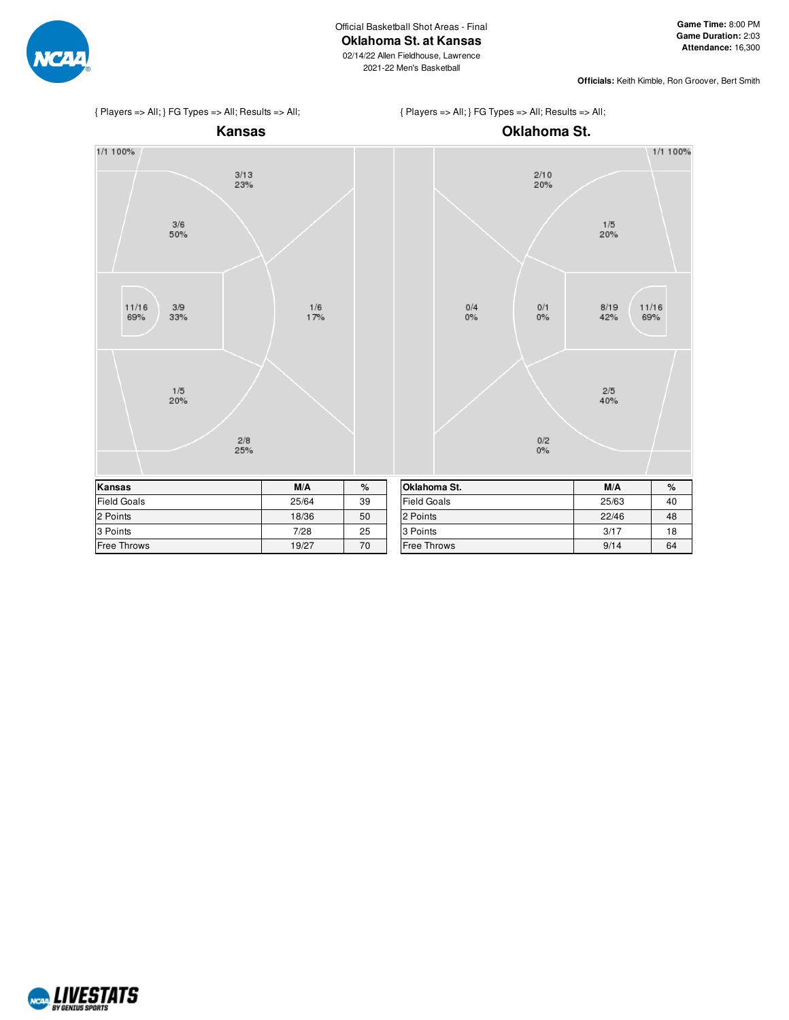



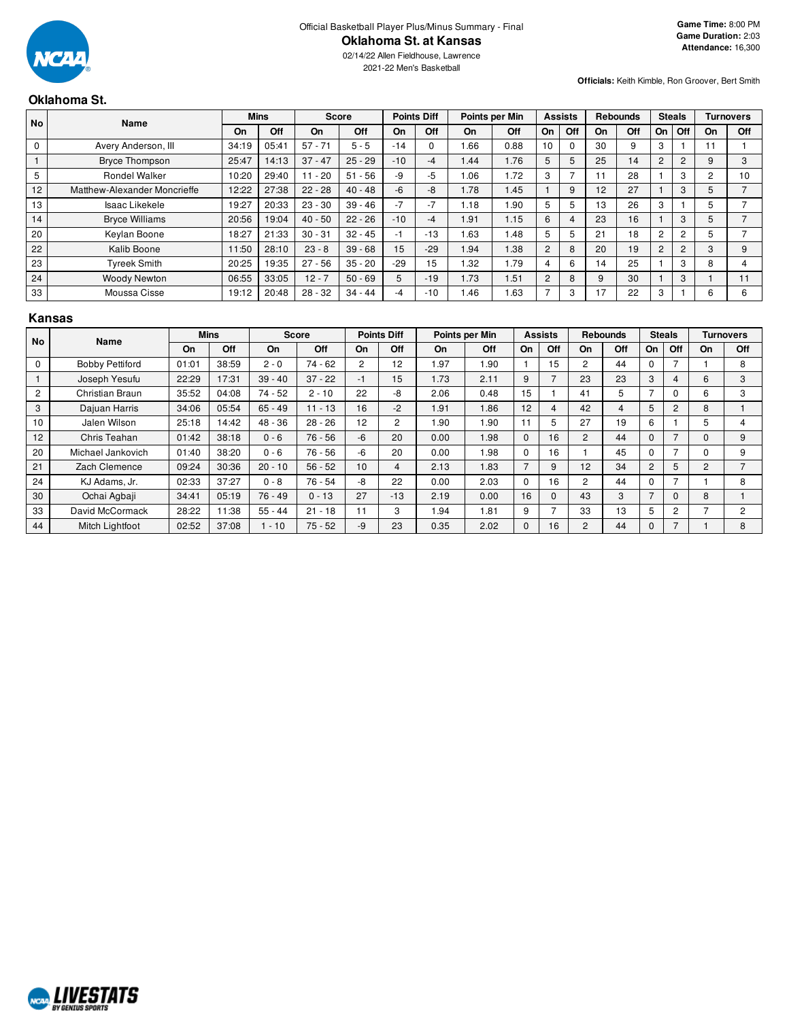

02/14/22 Allen Fieldhouse, Lawrence 2021-22 Men's Basketball

**Officials:** Keith Kimble, Ron Groover, Bert Smith

# **Oklahoma St.**

| <b>No</b>       |                              | Name  | <b>Mins</b> |           | <b>Score</b> |       | <b>Points Diff</b> |           | Points per Min |                 |          | <b>Assists</b> |     | <b>Rebounds</b> | <b>Steals</b> |           |              | Turnovers |
|-----------------|------------------------------|-------|-------------|-----------|--------------|-------|--------------------|-----------|----------------|-----------------|----------|----------------|-----|-----------------|---------------|-----------|--------------|-----------|
|                 |                              | On    | Off         | On        | <b>Off</b>   | On    | Off                | <b>On</b> | Off            | On              | Off      | On             | Off | On              | <b>Off</b>    | <b>On</b> | Off          |           |
| $\mathbf 0$     | Avery Anderson, III          | 34:19 | 05:41       | $57 - 71$ | $5 - 5$      | $-14$ |                    | .66       | 0.88           | 10 <sup>1</sup> | $\Omega$ | 30             | 9   | 3               |               | 11        |              |           |
|                 | <b>Bryce Thompson</b>        | 25:47 | 14:13       | $37 - 47$ | $25 - 29$    | $-10$ | $-4$               | 1.44      | 1.76           | 5               | 5        | 25             | 14  | 2               | 2             | 9         | 3            |           |
| 5               | <b>Rondel Walker</b>         | 10:20 | 29:40       | $11 - 20$ | $51 - 56$    | $-9$  | -5                 | 1.06      | 1.72           | 3               |          | 11             | 28  |                 | 3             | 2         | $10^{\circ}$ |           |
| 12 <sup>2</sup> | Matthew-Alexander Moncrieffe | 12:22 | 27:38       | $22 - 28$ | $40 - 48$    | $-6$  | -8                 | 1.78      | 1.45           |                 | 9        | 12             | 27  |                 | 3             | 5         |              |           |
| 13              | Isaac Likekele               | 19:27 | 20:33       | $23 - 30$ | $39 - 46$    | $-7$  | $-7$               | 1.18      | 1.90           | 5               | 5        | 13             | 26  | 3               |               | 5         |              |           |
| 14              | <b>Bryce Williams</b>        | 20:56 | 19:04       | $40 - 50$ | $22 - 26$    | $-10$ | -4                 | 1.91      | 1.15           | 6               | 4        | 23             | 16  |                 | 3             | 5         |              |           |
| 20              | Keylan Boone                 | 18:27 | 21:33       | $30 - 31$ | $32 - 45$    | -1    | $-13$              | 1.63      | 1.48           | 5               | 5        | 21             | 18  | 2               | 2             | 5         |              |           |
| 22              | Kalib Boone                  | 11:50 | 28:10       | $23 - 8$  | $39 - 68$    | 15    | $-29$              | 1.94      | 1.38           | 2               | 8        | 20             | 19  | $\overline{2}$  | 2             | 3         | 9            |           |
| 23              | <b>Tyreek Smith</b>          | 20:25 | 19:35       | $27 - 56$ | $35 - 20$    | $-29$ | 15                 | 1.32      | 1.79           | 4               | 6        | 14             | 25  |                 | 3             | 8         |              |           |
| 24              | <b>Woody Newton</b>          | 06:55 | 33:05       | $12 - 7$  | $50 - 69$    | 5     | $-19$              | 1.73      | 1.51           | $\overline{2}$  | 8        | 9              | 30  |                 | 3             |           |              |           |
| 33              | Moussa Cisse                 | 19:12 | 20:48       | $28 - 32$ | $34 - 44$    | -4    | $-10$              | 1.46      | 1.63           |                 | 3        | 17             | 22  | 3               |               | 6         | 6            |           |

## **Kansas**

| <b>No</b>      | Name                   |       | <b>Mins</b> |           | <b>Score</b> |                | <b>Points Diff</b> |           | Points per Min |              | <b>Assists</b> |                | <b>Rebounds</b> |                          | <b>Steals</b>  |           | Turnovers      |
|----------------|------------------------|-------|-------------|-----------|--------------|----------------|--------------------|-----------|----------------|--------------|----------------|----------------|-----------------|--------------------------|----------------|-----------|----------------|
|                |                        | On    | Off         | On        | Off          | On             | Off                | <b>On</b> | Off            | On           | Off            | On             | Off             | On                       | Off            | <b>On</b> | Off            |
| $\Omega$       | <b>Bobby Pettiford</b> | 01:01 | 38:59       | $2 - 0$   | $74 - 62$    | $\overline{2}$ | 12 <sup>2</sup>    | .97       | 1.90           |              | 15             | $\overline{2}$ | 44              |                          |                |           | 8              |
|                | Joseph Yesufu          | 22:29 | 17:31       | $39 - 40$ | $37 - 22$    | -1             | 15                 | 1.73      | 2.11           | 9            |                | 23             | 23              | 3                        | 4              | 6         | 3              |
| $\overline{2}$ | Christian Braun        | 35:52 | 04:08       | $74 - 52$ | $2 - 10$     | 22             | -8                 | 2.06      | 0.48           | 15           |                | 41             | 5               |                          | 0              | 6         | 3              |
| 3              | Dajuan Harris          | 34:06 | 05:54       | $65 - 49$ | $11 - 13$    | 16             | $-2$               | 1.91      | 1.86           | 12           | 4              | 42             | $\overline{4}$  | 5                        | 2              | 8         |                |
| 10             | Jalen Wilson           | 25:18 | 14:42       | $48 - 36$ | $28 - 26$    | 12             | $\overline{2}$     | .90       | 1.90           | 11           | 5              | 27             | 19              | 6                        |                | 5         | 4              |
| 12             | Chris Teahan           | 01:42 | 38:18       | $0 - 6$   | $76 - 56$    | $-6$           | 20                 | 0.00      | 1.98           | $\mathbf{0}$ | 16             | $\overline{2}$ | 44              | 0                        | ⇁              | 0         | 9              |
| 20             | Michael Jankovich      | 01:40 | 38:20       | $0 - 6$   | $76 - 56$    | $-6$           | 20                 | 0.00      | 1.98           | 0            | 16             |                | 45              | 0                        | ⇁              | 0         | 9              |
| 21             | Zach Clemence          | 09:24 | 30:36       | $20 - 10$ | $56 - 52$    | 10             | 4                  | 2.13      | 1.83           |              | 9              | 12             | 34              | $\overline{2}$           | 5              | 2         |                |
| 24             | KJ Adams, Jr.          | 02:33 | 37:27       | $0 - 8$   | $76 - 54$    | -8             | 22                 | 0.00      | 2.03           | 0            | 16             | 2              | 44              | 0                        |                |           | 8              |
| 30             | Ochai Agbaji           | 34:41 | 05:19       | $76 - 49$ | $0 - 13$     | 27             | $-13$              | 2.19      | 0.00           | 16           | $\Omega$       | 43             | 3               | $\overline{\phantom{0}}$ | 0              | 8         |                |
| 33             | David McCormack        | 28:22 | 11:38       | $55 - 44$ | $21 - 18$    | 11             | 3                  | .94       | 1.81           | 9            |                | 33             | 13              | 5                        | $\overline{2}$ |           | $\overline{2}$ |
| 44             | Mitch Lightfoot        | 02:52 | 37:08       | $1 - 10$  | $75 - 52$    | $-9$           | 23                 | 0.35      | 2.02           | 0            | 16             | $\overline{2}$ | 44              | 0                        | 7              |           | 8              |

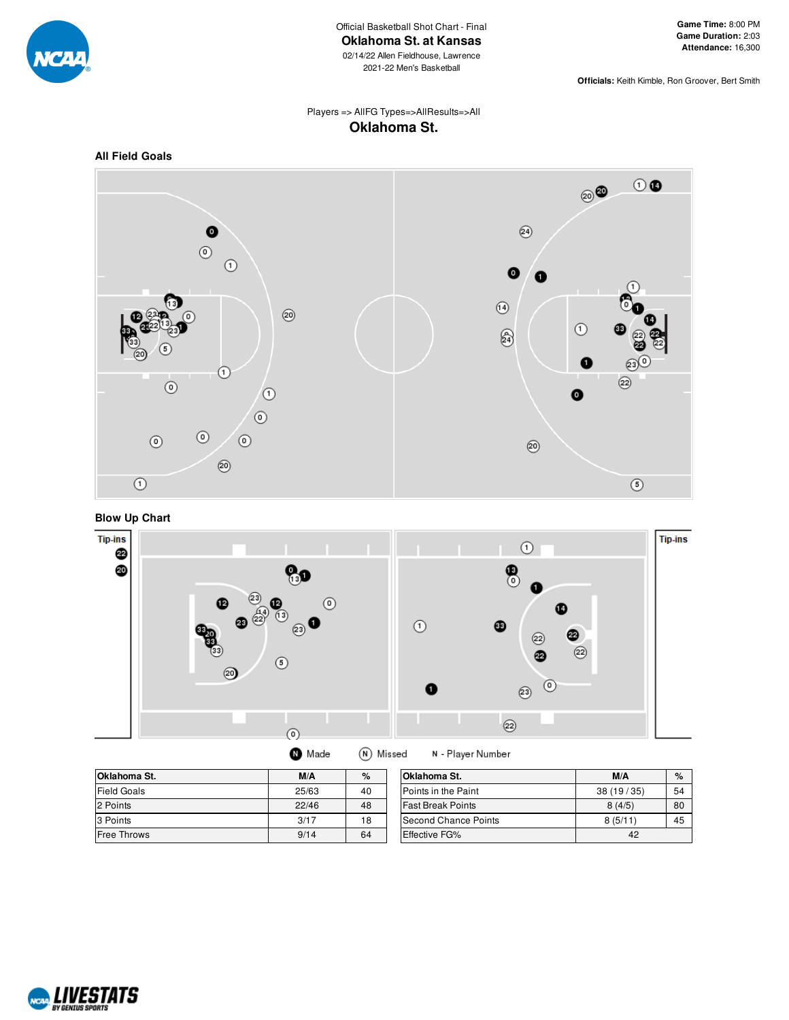

**Officials:** Keith Kimble, Ron Groover, Bert Smith

## Players => AllFG Types=>AllResults=>All **Oklahoma St.**

## **All Field Goals**







| Oklahoma St.       | M/A   | $\%$ | Oklahoma St.           |
|--------------------|-------|------|------------------------|
| <b>Field Goals</b> | 25/63 | 40   | Points in the Pa       |
| 2 Points           | 22/46 | 48   | <b>Fast Break Poin</b> |
| 3 Points           | 3/17  | 18   | Second Chance          |
| Free Throws        | 9/14  | 64   | <b>Effective FG%</b>   |

| Oklahoma St.             | M/A       | $\%$ |
|--------------------------|-----------|------|
| Points in the Paint      | 38(19/35) | 54   |
| <b>Fast Break Points</b> | 8(4/5)    | 80   |
| ISecond Chance Points    | 8(5/11)   | 45   |
| <b>Effective FG%</b>     | 42        |      |

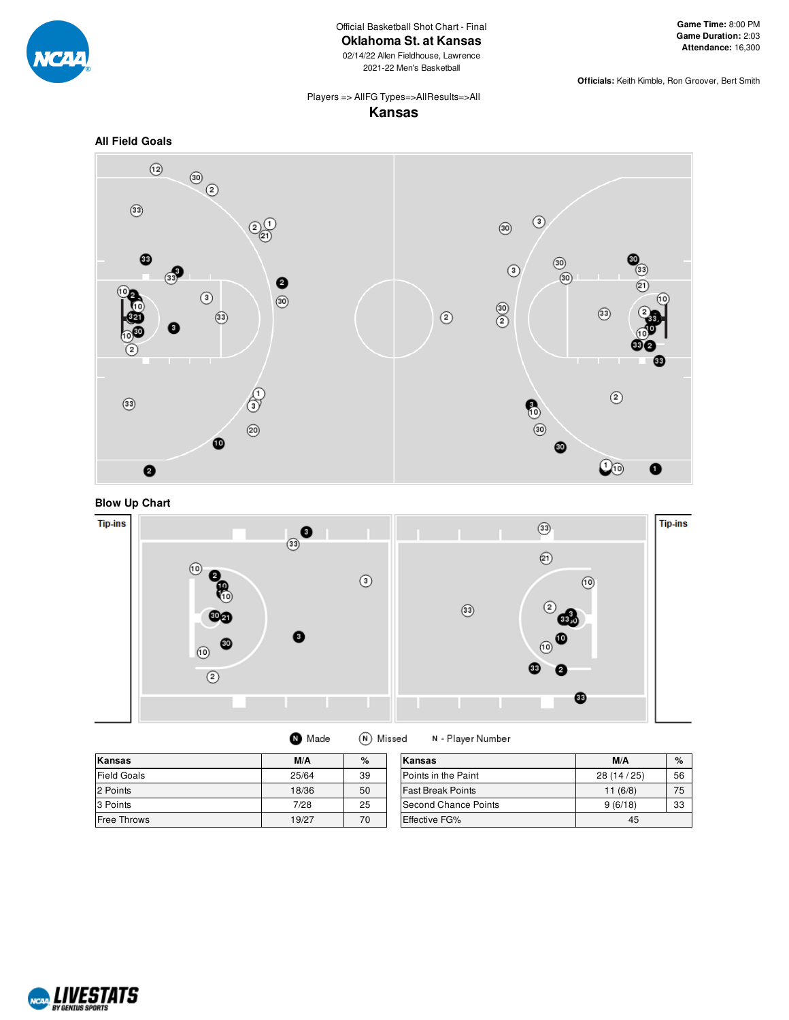

Official Basketball Shot Chart - Final

**Oklahoma St. at Kansas**

02/14/22 Allen Fieldhouse, Lawrence 2021-22 Men's Basketball

**Officials:** Keith Kimble, Ron Groover, Bert Smith

#### Players => AllFG Types=>AllResults=>All **Kansas**

#### **All Field Goals**







| <b>O</b> Made | (N) Missed |  |
|---------------|------------|--|
|---------------|------------|--|

N - Player Number

| Kansas             | M/A   | $\%$ | Kansas                   | M/A       | %  |
|--------------------|-------|------|--------------------------|-----------|----|
| <b>Field Goals</b> | 25/64 | 39   | Points in the Paint      | 28(14/25) | 56 |
| 2 Points           | 18/36 | 50   | <b>Fast Break Points</b> | 11(6/8)   | 75 |
| 3 Points           | 7/28  | 25   | Second Chance Points     | 9(6/18)   | 33 |
| <b>Free Throws</b> | 19/27 | 70   | <b>Effective FG%</b>     | 45        |    |

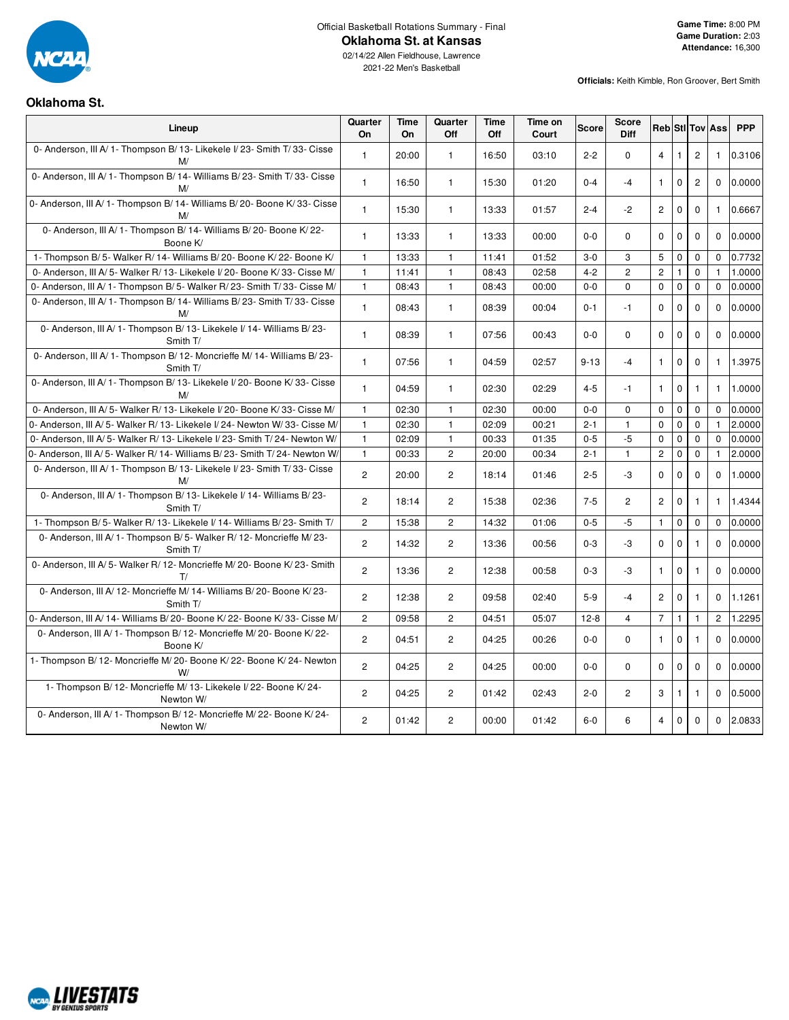

Official Basketball Rotations Summary - Final

**Oklahoma St. at Kansas**

**Officials:** Keith Kimble, Ron Groover, Bert Smith

# **Oklahoma St.**

| Lineup                                                                               | Quarter<br>On  | Time<br>On | Quarter<br>Off | Time<br>Off | Time on<br>Court | Score    | Score<br>Diff  |                |              |                | <b>Reb</b> Sti Tov Ass | <b>PPP</b> |
|--------------------------------------------------------------------------------------|----------------|------------|----------------|-------------|------------------|----------|----------------|----------------|--------------|----------------|------------------------|------------|
| 0- Anderson, III A/ 1- Thompson B/ 13- Likekele I/ 23- Smith T/ 33- Cisse<br>M/      | $\mathbf{1}$   | 20:00      | $\mathbf{1}$   | 16:50       | 03:10            | $2 - 2$  | 0              | $\overline{4}$ | 1            | $\overline{2}$ | $\mathbf{1}$           | 0.3106     |
| 0- Anderson, III A/ 1- Thompson B/ 14- Williams B/ 23- Smith T/ 33- Cisse<br>M/      | $\mathbf{1}$   | 16:50      | $\mathbf{1}$   | 15:30       | 01:20            | $0 - 4$  | $-4$           | $\mathbf{1}$   | $\mathbf 0$  | $\overline{2}$ | $\Omega$               | 0.0000     |
| 0- Anderson, III A/ 1- Thompson B/ 14- Williams B/ 20- Boone K/ 33- Cisse<br>M/      | $\mathbf{1}$   | 15:30      | $\mathbf{1}$   | 13:33       | 01:57            | $2 - 4$  | $-2$           | $\overline{2}$ | $\mathbf 0$  | $\mathbf{0}$   | $\mathbf{1}$           | 0.6667     |
| 0- Anderson, III A/ 1- Thompson B/ 14- Williams B/ 20- Boone K/ 22-<br>Boone K/      | $\mathbf{1}$   | 13:33      | $\mathbf{1}$   | 13:33       | 00:00            | $0-0$    | $\Omega$       | $\Omega$       | 0            | $\mathbf 0$    | $\Omega$               | 0.0000     |
| 1- Thompson B/5- Walker R/14- Williams B/20- Boone K/22- Boone K/                    | $\mathbf{1}$   | 13:33      | $\mathbf{1}$   | 11:41       | 01:52            | $3-0$    | 3              | 5              | $\mathbf 0$  | $\mathbf 0$    | $\mathbf 0$            | 0.7732     |
| 0- Anderson, III A/5- Walker R/13- Likekele I/20- Boone K/33- Cisse M/               | $\mathbf{1}$   | 11:41      | $\mathbf{1}$   | 08:43       | 02:58            | $4 - 2$  | $\overline{2}$ | $\overline{c}$ | $\mathbf{1}$ | $\mathbf 0$    | $\mathbf{1}$           | 1.0000     |
| 0- Anderson, III A/ 1- Thompson B/ 5- Walker R/ 23- Smith T/ 33- Cisse M/            | $\mathbf{1}$   | 08:43      | $\mathbf{1}$   | 08:43       | 00:00            | $0-0$    | 0              | $\mathbf 0$    | $\mathbf 0$  | $\mathbf 0$    | $\mathbf 0$            | 0.0000     |
| 0- Anderson, III A/ 1- Thompson B/ 14- Williams B/ 23- Smith T/ 33- Cisse<br>M/      | $\mathbf{1}$   | 08:43      | $\mathbf{1}$   | 08:39       | 00:04            | $0 - 1$  | $-1$           | $\Omega$       | 0            | $\Omega$       | $\Omega$               | 0.0000     |
| 0- Anderson, III A/ 1- Thompson B/ 13- Likekele I/ 14- Williams B/ 23-<br>Smith T/   | $\mathbf{1}$   | 08:39      | $\mathbf{1}$   | 07:56       | 00:43            | $0 - 0$  | 0              | $\Omega$       | 0            | $\mathbf 0$    | $\Omega$               | 0.0000     |
| 0- Anderson, III A/ 1- Thompson B/ 12- Moncrieffe M/ 14- Williams B/ 23-<br>Smith T/ | $\mathbf{1}$   | 07:56      | $\mathbf{1}$   | 04:59       | 02:57            | $9 - 13$ | $-4$           | $\mathbf{1}$   | $\pmb{0}$    | $\mathbf 0$    | 1                      | 1.3975     |
| 0- Anderson, III A/ 1- Thompson B/ 13- Likekele I/ 20- Boone K/ 33- Cisse<br>M/      | $\mathbf{1}$   | 04:59      | $\mathbf{1}$   | 02:30       | 02:29            | $4 - 5$  | $-1$           | $\mathbf{1}$   | 0            | $\mathbf{1}$   | $\mathbf{1}$           | 1.0000     |
| 0- Anderson, III A/ 5- Walker R/ 13- Likekele I/ 20- Boone K/ 33- Cisse M/           | $\mathbf{1}$   | 02:30      | $\mathbf{1}$   | 02:30       | 00:00            | $0 - 0$  | 0              | $\mathbf 0$    | 0            | 0              | $\mathbf{0}$           | 0.0000     |
| 0- Anderson, III A/ 5- Walker R/ 13- Likekele I/ 24- Newton W/ 33- Cisse M/          | $\mathbf{1}$   | 02:30      | $\mathbf{1}$   | 02:09       | 00:21            | $2 - 1$  | $\mathbf{1}$   | 0              | $\mathbf 0$  | $\mathbf 0$    | $\mathbf{1}$           | 2.0000     |
| 0- Anderson, III A/5- Walker R/13- Likekele I/23- Smith T/24- Newton W/              | $\mathbf{1}$   | 02:09      | $\mathbf{1}$   | 00:33       | 01:35            | $0 - 5$  | $-5$           | 0              | $\mathbf 0$  | 0              | $\Omega$               | 0.0000     |
| 0- Anderson, III A/5- Walker R/14- Williams B/23- Smith T/24- Newton W/              | $\mathbf{1}$   | 00:33      | $\overline{2}$ | 20:00       | 00:34            | $2 - 1$  | $\mathbf{1}$   | $\overline{2}$ | $\mathbf 0$  | $\mathbf 0$    | $\mathbf{1}$           | 2.0000     |
| 0- Anderson, III A/ 1- Thompson B/ 13- Likekele I/ 23- Smith T/ 33- Cisse<br>M/      | $\overline{2}$ | 20:00      | $\overline{2}$ | 18:14       | 01:46            | $2 - 5$  | $-3$           | $\mathbf 0$    | 0            | $\mathbf 0$    | $\Omega$               | 1.0000     |
| 0- Anderson, III A/ 1- Thompson B/ 13- Likekele I/ 14- Williams B/ 23-<br>Smith T/   | $\overline{c}$ | 18:14      | $\mathbf{2}$   | 15:38       | 02:36            | $7 - 5$  | 2              | $\overline{c}$ | $\mathbf 0$  | $\mathbf{1}$   | $\mathbf{1}$           | 1.4344     |
| 1- Thompson B/5- Walker R/13- Likekele I/14- Williams B/23- Smith T/                 | 2              | 15:38      | $\overline{2}$ | 14:32       | 01:06            | $0 - 5$  | $-5$           | $\mathbf{1}$   | $\mathbf 0$  | $\mathbf 0$    | $\Omega$               | 0.0000     |
| 0- Anderson, III A/ 1- Thompson B/ 5- Walker R/ 12- Moncrieffe M/ 23-<br>Smith T/    | $\overline{2}$ | 14:32      | $\overline{2}$ | 13:36       | 00:56            | $0 - 3$  | $-3$           | $\mathbf 0$    | $\mathbf 0$  | $\mathbf{1}$   | $\Omega$               | 0.0000     |
| 0- Anderson, III A/ 5- Walker R/ 12- Moncrieffe M/ 20- Boone K/ 23- Smith<br>T/      | $\overline{c}$ | 13:36      | $\overline{2}$ | 12:38       | 00:58            | $0-3$    | -3             | $\mathbf{1}$   | 0            | $\mathbf{1}$   | $\mathbf{0}$           | 0.0000     |
| 0- Anderson, III A/ 12- Moncrieffe M/ 14- Williams B/ 20- Boone K/ 23-<br>Smith T/   | $\overline{2}$ | 12:38      | $\overline{c}$ | 09:58       | 02:40            | $5-9$    | $-4$           | $\overline{2}$ | $\mathbf 0$  | $\mathbf{1}$   | $\Omega$               | 1.1261     |
| 0- Anderson, III A/ 14- Williams B/ 20- Boone K/ 22- Boone K/ 33- Cisse M/           | $\overline{c}$ | 09:58      | $\overline{2}$ | 04:51       | 05:07            | $12-8$   | $\overline{4}$ | $\overline{7}$ | $\mathbf{1}$ | $\mathbf{1}$   | $\overline{2}$         | 1.2295     |
| 0- Anderson, III A/ 1- Thompson B/ 12- Moncrieffe M/ 20- Boone K/ 22-<br>Boone K/    | $\overline{c}$ | 04:51      | $\overline{2}$ | 04:25       | 00:26            | $0 - 0$  | $\mathbf 0$    | $\mathbf{1}$   | $\Omega$     | $\mathbf{1}$   | $\Omega$               | 0.0000     |
| 1- Thompson B/12- Moncrieffe M/20- Boone K/22- Boone K/24- Newton<br>W/              | $\overline{2}$ | 04:25      | $\overline{2}$ | 04:25       | 00:00            | $0-0$    | 0              | $\mathbf 0$    | 0            | $\mathbf 0$    | $\Omega$               | 0.0000     |
| 1- Thompson B/ 12- Moncrieffe M/ 13- Likekele I/ 22- Boone K/ 24-<br>Newton W/       | $\overline{2}$ | 04:25      | $\overline{2}$ | 01:42       | 02:43            | $2 - 0$  | $\overline{2}$ | 3              | 1            | $\mathbf{1}$   | $\Omega$               | 0.5000     |
| 0- Anderson, III A/ 1- Thompson B/ 12- Moncrieffe M/ 22- Boone K/ 24-<br>Newton W/   | $\overline{2}$ | 01:42      | $\overline{2}$ | 00:00       | 01:42            | $6-0$    | 6              | 4              | $\mathbf 0$  | $\mathbf 0$    | $\Omega$               | 2.0833     |

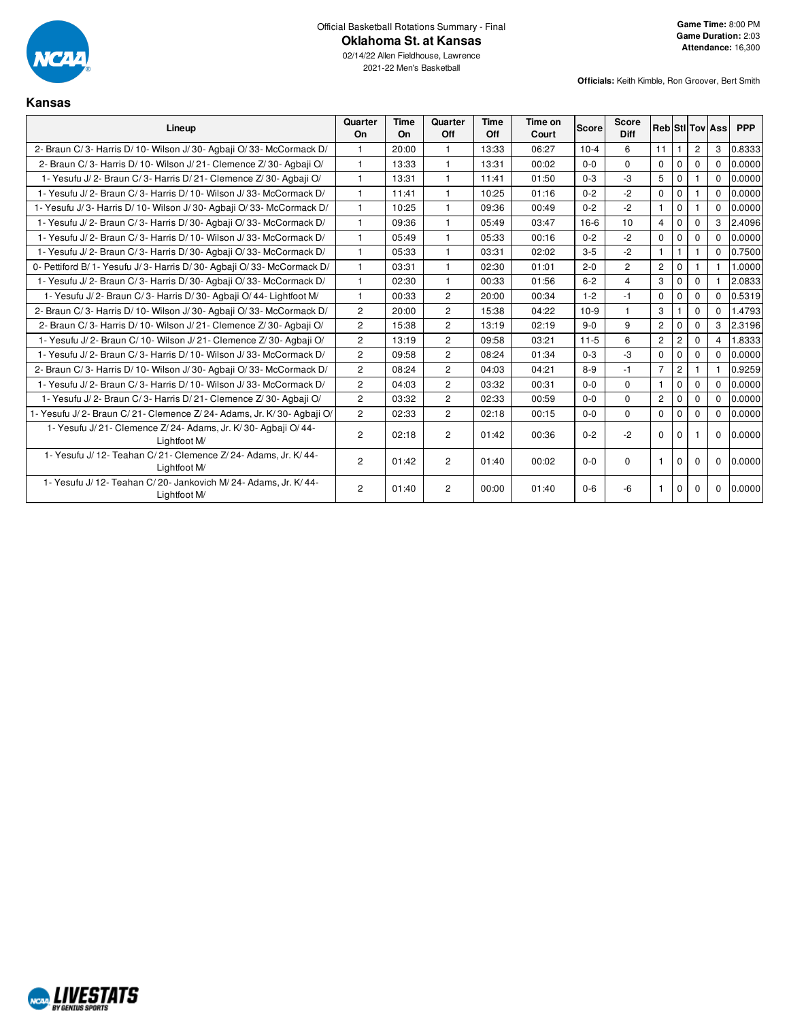

2021-22 Men's Basketball

**Officials:** Keith Kimble, Ron Groover, Bert Smith

#### **Kansas**

| Lineup                                                                            | Quarter<br>On  | Time<br>On | Quarter<br>Off | Time<br>Off | Time on<br>Court | <b>Score</b> | <b>Score</b><br><b>Diff</b> |                       |                |                | <b>Reb Stillov Ass</b> | <b>PPP</b> |
|-----------------------------------------------------------------------------------|----------------|------------|----------------|-------------|------------------|--------------|-----------------------------|-----------------------|----------------|----------------|------------------------|------------|
| 2- Braun C/3- Harris D/10- Wilson J/30- Agbaii O/33- McCormack D/                 | $\mathbf{1}$   | 20:00      | $\mathbf{1}$   | 13:33       | 06:27            | $10-4$       | 6                           | 11                    | $\mathbf{1}$   | $\overline{2}$ | 3                      | 0.8333     |
| 2- Braun C/3- Harris D/10- Wilson J/21- Clemence Z/30- Agbaji O/                  | 1              | 13:33      | $\mathbf{1}$   | 13:31       | 00:02            | $0-0$        | $\Omega$                    | $\mathbf 0$           | $\mathbf 0$    | 0              | $\Omega$               | 0.0000     |
| 1- Yesufu J/2- Braun C/3- Harris D/21- Clemence Z/30- Agbaji O/                   |                | 13:31      | 1              | 11:41       | 01:50            | $0 - 3$      | $-3$                        | 5                     | $\mathbf 0$    |                | $\Omega$               | 0.0000     |
| 1- Yesufu J/2- Braun C/3- Harris D/10- Wilson J/33- McCormack D/                  |                | 11:41      | $\mathbf{1}$   | 10:25       | 01:16            | $0 - 2$      | $-2$                        | $\mathbf 0$           | $\mathbf 0$    |                | $\Omega$               | 0.0000     |
| 1- Yesufu J/3- Harris D/10- Wilson J/30- Agbaji O/33- McCormack D/                | 1              | 10:25      | $\mathbf{1}$   | 09:36       | 00:49            | $0 - 2$      | $-2$                        | $\mathbf{1}$          | $\mathbf 0$    |                | $\Omega$               | 0.0000     |
| 1- Yesufu J/2- Braun C/3- Harris D/30- Agbaji O/33- McCormack D/                  | $\mathbf{1}$   | 09:36      | $\mathbf{1}$   | 05:49       | 03:47            | $16-6$       | 10                          | $\overline{4}$        | $\mathbf 0$    | $\mathbf 0$    | 3                      | 2.4096     |
| 1- Yesufu J/2- Braun C/3- Harris D/10- Wilson J/33- McCormack D/                  | $\mathbf{1}$   | 05:49      | $\mathbf{1}$   | 05:33       | 00:16            | $0 - 2$      | $-2$                        | $\mathbf 0$           | $\mathbf 0$    | $\Omega$       | $\Omega$               | 0.0000     |
| 1- Yesufu J/2- Braun C/3- Harris D/30- Agbaji O/33- McCormack D/                  | 1              | 05:33      | $\mathbf{1}$   | 03:31       | 02:02            | $3-5$        | $-2$                        | $\mathbf{1}$          | $\mathbf{1}$   |                | $\Omega$               | 0.7500     |
| 0- Pettiford B/ 1- Yesufu J/ 3- Harris D/ 30- Agbaji O/ 33- McCormack D/          |                | 03:31      | $\mathbf{1}$   | 02:30       | 01:01            | $2 - 0$      | $\overline{2}$              | $\mathbf{2}^{\prime}$ | $\mathbf 0$    |                |                        | 1.0000     |
| 1- Yesufu J/2- Braun C/3- Harris D/30- Agbaji O/33- McCormack D/                  |                | 02:30      | 1              | 00:33       | 01:56            | $6 - 2$      | $\overline{4}$              | 3                     | $\Omega$       | $\Omega$       |                        | 2.0833     |
| 1- Yesufu J/2- Braun C/3- Harris D/30- Agbaji O/44- Lightfoot M/                  |                | 00:33      | $\overline{2}$ | 20:00       | 00:34            | $1 - 2$      | $-1$                        | $\mathbf 0$           | $\mathbf 0$    | $\Omega$       | $\Omega$               | 0.5319     |
| 2- Braun C/3- Harris D/10- Wilson J/30- Agbaji O/33- McCormack D/                 | $\overline{2}$ | 20:00      | $\overline{2}$ | 15:38       | 04:22            | $10-9$       | $\mathbf{1}$                | 3                     |                | $\mathbf 0$    | $\Omega$               | 1.4793     |
| 2- Braun C/3- Harris D/10- Wilson J/21- Clemence Z/30- Agbaji O/                  | $\overline{2}$ | 15:38      | $\overline{2}$ | 13:19       | 02:19            | $9-0$        | 9                           | $\overline{2}$        | $\mathbf 0$    | $\Omega$       | 3                      | 2.3196     |
| 1- Yesufu J/2- Braun C/10- Wilson J/21- Clemence Z/30- Agbaji O/                  | $\overline{2}$ | 13:19      | $\overline{2}$ | 09:58       | 03:21            | $11 - 5$     | 6                           | $\overline{2}$        | $\overline{2}$ | $\Omega$       | $\overline{4}$         | 1.8333     |
| 1- Yesufu J/2- Braun C/3- Harris D/10- Wilson J/33- McCormack D/                  | $\overline{2}$ | 09:58      | $\overline{2}$ | 08:24       | 01:34            | $0 - 3$      | $-3$                        | $\mathbf 0$           | $\mathbf 0$    | $\Omega$       | $\Omega$               | 0.0000     |
| 2- Braun C/3- Harris D/10- Wilson J/30- Agbaji O/33- McCormack D/                 | $\overline{c}$ | 08:24      | $\overline{2}$ | 04:03       | 04:21            | $8-9$        | $-1$                        | $\overline{7}$        | $\overline{c}$ |                |                        | 0.9259     |
| 1- Yesufu J/2- Braun C/3- Harris D/10- Wilson J/33- McCormack D/                  | $\overline{c}$ | 04:03      | $\overline{2}$ | 03:32       | 00:31            | $0 - 0$      | $\Omega$                    | $\mathbf{1}$          | $\mathbf 0$    | $\Omega$       | $\Omega$               | 0.0000     |
| 1- Yesufu J/2- Braun C/3- Harris D/21- Clemence Z/30- Agbaji O/                   | $\overline{2}$ | 03:32      | $\overline{2}$ | 02:33       | 00:59            | $0-0$        | $\mathbf 0$                 | $\overline{c}$        | $\mathbf 0$    | $\mathbf 0$    | $\Omega$               | 0.0000     |
| 1- Yesufu J/2- Braun C/21- Clemence Z/24- Adams, Jr. K/30- Agbaii O/              | $\overline{2}$ | 02:33      | $\overline{2}$ | 02:18       | 00:15            | $0 - 0$      | $\Omega$                    | $\mathbf 0$           | $\mathbf 0$    | $\Omega$       | $\Omega$               | 0.0000     |
| 1- Yesufu J/21- Clemence Z/24- Adams, Jr. K/30- Agbaji O/44-<br>Lightfoot M/      | $\overline{c}$ | 02:18      | $\overline{c}$ | 01:42       | 00:36            | $0 - 2$      | $-2$                        | $\Omega$              | $\Omega$       |                | $\Omega$               | 0.0000     |
| 1- Yesufu J/ 12- Teahan C/ 21- Clemence Z/ 24- Adams, Jr. K/ 44-<br>Lightfoot M/  | $\overline{2}$ | 01:42      | $\overline{2}$ | 01:40       | 00:02            | $0 - 0$      | $\Omega$                    | $\mathbf{1}$          | $\Omega$       | $\Omega$       | $\Omega$               | 0.0000     |
| 1- Yesufu J/ 12- Teahan C/ 20- Jankovich M/ 24- Adams, Jr. K/ 44-<br>Lightfoot M/ | $\overline{2}$ | 01:40      | $\overline{2}$ | 00:00       | 01:40            | $0-6$        | -6                          | $\mathbf{1}$          | $\mathbf 0$    | $\Omega$       | $\mathbf 0$            | 0.0000     |

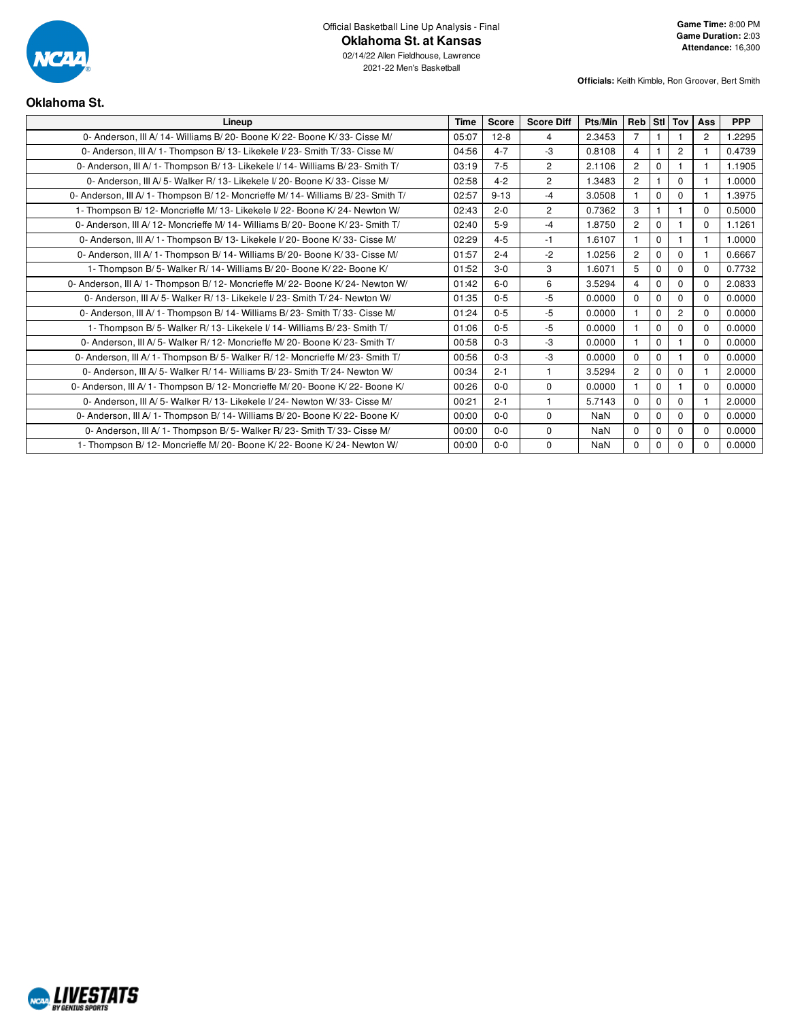

**Officials:** Keith Kimble, Ron Groover, Bert Smith

## **Oklahoma St.**

| Lineup                                                                            | Time  | <b>Score</b> | <b>Score Diff</b> | Pts/Min    | Reb Stl Tov    |                |                | Ass            | <b>PPP</b> |
|-----------------------------------------------------------------------------------|-------|--------------|-------------------|------------|----------------|----------------|----------------|----------------|------------|
| 0- Anderson, III A/14- Williams B/20- Boone K/22- Boone K/33- Cisse M/            | 05:07 | $12 - 8$     | 4                 | 2.3453     | $\overline{7}$ | $\mathbf{1}$   |                | $\overline{2}$ | 1.2295     |
| 0- Anderson, III A/ 1- Thompson B/ 13- Likekele I/ 23- Smith T/ 33- Cisse M/      | 04:56 | $4 - 7$      | $-3$              | 0.8108     | $\overline{4}$ |                | $\overline{2}$ |                | 0.4739     |
| 0- Anderson, III A/ 1- Thompson B/ 13- Likekele I/ 14- Williams B/ 23- Smith T/   | 03:19 | $7 - 5$      | $\overline{2}$    | 2.1106     | $\overline{2}$ | $\Omega$       |                |                | 1.1905     |
| 0- Anderson, III A/5- Walker R/ 13- Likekele I/ 20- Boone K/ 33- Cisse M/         | 02:58 | $4 - 2$      | $\overline{2}$    | 1.3483     | $\overline{2}$ | $\overline{1}$ | $\Omega$       | $\mathbf{1}$   | 1.0000     |
| 0- Anderson, III A/ 1- Thompson B/ 12- Moncrieffe M/ 14- Williams B/ 23- Smith T/ | 02:57 | $9 - 13$     | $-4$              | 3.0508     |                | $\Omega$       | $\Omega$       |                | 1.3975     |
| 1- Thompson B/ 12- Moncrieffe M/ 13- Likekele I/ 22- Boone K/ 24- Newton W/       | 02:43 | $2 - 0$      | $\overline{2}$    | 0.7362     | 3              |                |                | $\mathbf 0$    | 0.5000     |
| 0- Anderson, III A/12- Moncrieffe M/14- Williams B/20- Boone K/23- Smith T/       | 02:40 | $5-9$        | $-4$              | 1.8750     | $\overline{2}$ | $\Omega$       |                | $\Omega$       | 1.1261     |
| 0- Anderson, III A/1- Thompson B/13- Likekele I/20- Boone K/33- Cisse M/          | 02:29 | $4 - 5$      | $-1$              | 1.6107     | 1.             | $\Omega$       |                | 1              | 1.0000     |
| 0- Anderson, III A/ 1- Thompson B/ 14- Williams B/ 20- Boone K/ 33- Cisse M/      | 01:57 | $2 - 4$      | $-2$              | 1.0256     | $\overline{2}$ | $\Omega$       | $\Omega$       |                | 0.6667     |
| 1- Thompson B/5- Walker R/14- Williams B/20- Boone K/22- Boone K/                 | 01:52 | $3 - 0$      | 3                 | 1.6071     | 5              | $\Omega$       | $\Omega$       | $\mathbf 0$    | 0.7732     |
| 0- Anderson, III A/ 1- Thompson B/ 12- Moncrieffe M/ 22- Boone K/ 24- Newton W/   | 01:42 | $6-0$        | 6                 | 3.5294     | $\overline{4}$ | $\Omega$       | $\Omega$       | $\Omega$       | 2.0833     |
| 0- Anderson, III A/5- Walker R/13- Likekele I/23- Smith T/24- Newton W/           | 01:35 | $0 - 5$      | -5                | 0.0000     | $\Omega$       | $\mathbf 0$    | $\Omega$       | $\Omega$       | 0.0000     |
| 0- Anderson, III A/ 1- Thompson B/ 14- Williams B/ 23- Smith T/ 33- Cisse M/      | 01:24 | $0 - 5$      | -5                | 0.0000     |                | $\Omega$       | $\overline{2}$ | $\Omega$       | 0.0000     |
| 1- Thompson B/5- Walker R/13- Likekele I/14- Williams B/23- Smith T/              | 01:06 | $0 - 5$      | -5                | 0.0000     |                | $\Omega$       | $\Omega$       | $\Omega$       | 0.0000     |
| 0- Anderson, III A/ 5- Walker R/ 12- Moncrieffe M/ 20- Boone K/ 23- Smith T/      | 00:58 | $0 - 3$      | -3                | 0.0000     |                | $\Omega$       |                | $\Omega$       | 0.0000     |
| 0- Anderson, III A/ 1- Thompson B/ 5- Walker R/ 12- Moncrieffe M/ 23- Smith T/    | 00:56 | $0 - 3$      | -3                | 0.0000     | $\Omega$       | $\Omega$       |                | $\Omega$       | 0.0000     |
| 0- Anderson, III A/5- Walker R/14- Williams B/23- Smith T/24- Newton W/           | 00:34 | $2 - 1$      |                   | 3.5294     | $\overline{2}$ | $\Omega$       | $\mathbf 0$    |                | 2.0000     |
| 0- Anderson, III A/ 1- Thompson B/ 12- Moncrieffe M/ 20- Boone K/ 22- Boone K/    | 00:26 | $0 - 0$      | $\mathbf 0$       | 0.0000     | $\mathbf{1}$   | $\mathbf 0$    |                | $\mathbf 0$    | 0.0000     |
| 0- Anderson, III A/5- Walker R/13- Likekele I/24- Newton W/33- Cisse M/           | 00:21 | $2 - 1$      |                   | 5.7143     | $\Omega$       | $\Omega$       | $\Omega$       |                | 2.0000     |
| 0- Anderson, III A/ 1- Thompson B/ 14- Williams B/ 20- Boone K/ 22- Boone K/      | 00:00 | $0 - 0$      | $\mathbf 0$       | <b>NaN</b> | $\Omega$       | $\Omega$       | $\Omega$       | $\Omega$       | 0.0000     |
| 0- Anderson, III A/1- Thompson B/5- Walker R/23- Smith T/33- Cisse M/             | 00:00 | $0 - 0$      | $\mathbf 0$       | NaN        | $\mathbf{0}$   | $\Omega$       | $\mathbf 0$    | $\mathbf 0$    | 0.0000     |
| 1- Thompson B/ 12- Moncrieffe M/ 20- Boone K/ 22- Boone K/ 24- Newton W/          | 00:00 | $0-0$        | $\mathbf 0$       | NaN        | $\mathbf{0}$   | $\mathbf 0$    | 0              | $\Omega$       | 0.0000     |